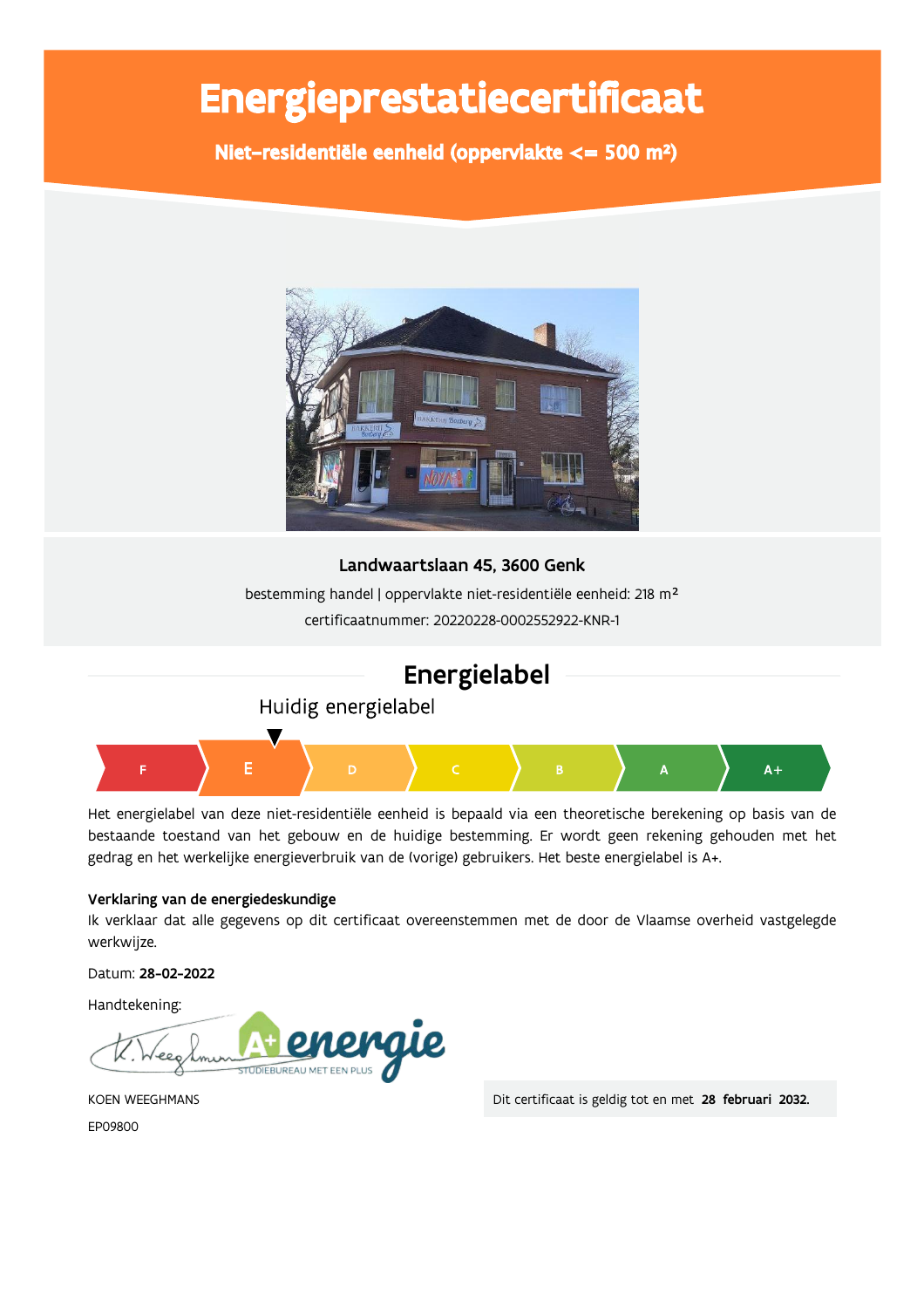# Energieprestatiecertificaat

Niet-residentiële eenheid (oppervlakte <= 500 m<sup>2</sup>)



### Landwaartslaan 45, 3600 Genk

bestemming handel | oppervlakte niet-residentiële eenheid: 218 m<sup>2</sup> certificaatnummer: 20220228-0002552922-KNR-1



Het energielabel van deze niet-residentiële eenheid is bepaald via een theoretische berekening op basis van de bestaande toestand van het gebouw en de huidige bestemming. Er wordt geen rekening gehouden met het gedrag en het werkelijke energieverbruik van de (vorige) gebruikers. Het beste energielabel is A+.

#### Verklaring van de energiedeskundige

Ik verklaar dat alle gegevens op dit certificaat overeenstemmen met de door de Vlaamse overheid vastgelegde werkwijze.

Datum: 28-02-2022

Handtekening:



**KOEN WEEGHMANS** FP09800

Dit certificaat is geldig tot en met 28 februari 2032.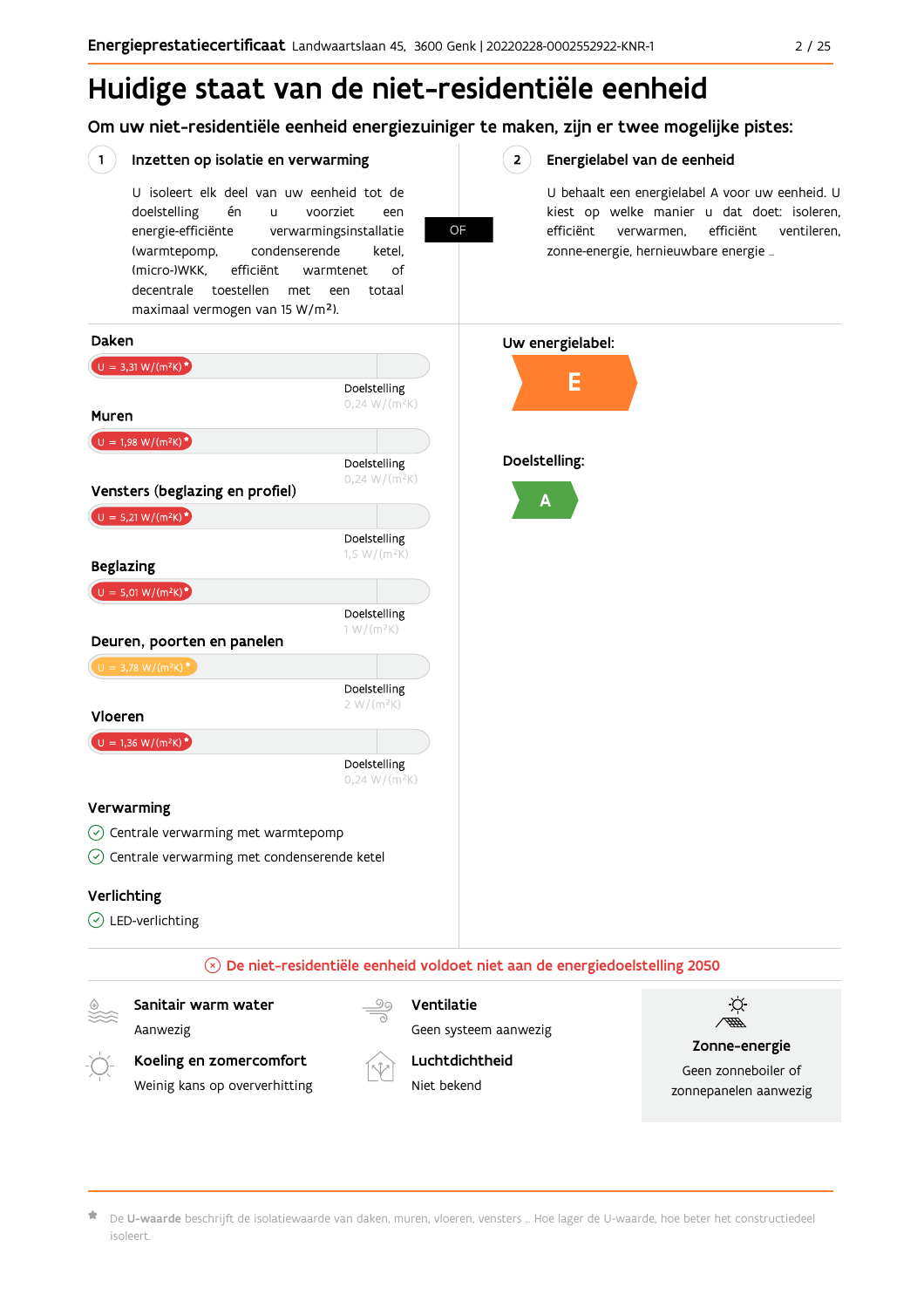## Huidige staat van de niet-residentiële eenheid

Om uw niet-residentiële eenheid energiezuiniger te maken, zijn er twee mogelijke pistes:

#### Inzetten op isolatie en verwarming

 $(1)$ 

U isoleert elk deel van uw eenheid tot de voorziet doelstelling én  $\overline{11}$ een energie-efficiënte verwarmingsinstallatie (warmtepomp, condenserende ketel. (micro-)WKK. efficiënt warmtenet  $\bigcap_{ }$ decentrale toestellen met een totaal maximaal vermogen van 15 W/m<sup>2</sup>).

OF

#### $2^{\circ}$ Energielabel van de eenheid

U behaalt een energielabel A voor uw eenheid. U kiest op welke manier u dat doet: isoleren, efficiënt verwarmen, efficiënt ventileren, zonne-energie, hernieuwbare energie ...



De U-waarde beschrijft de isolatiewaarde van daken, muren, vloeren, vensters ... Hoe lager de U-waarde, hoe beter het constructiedeel isoleert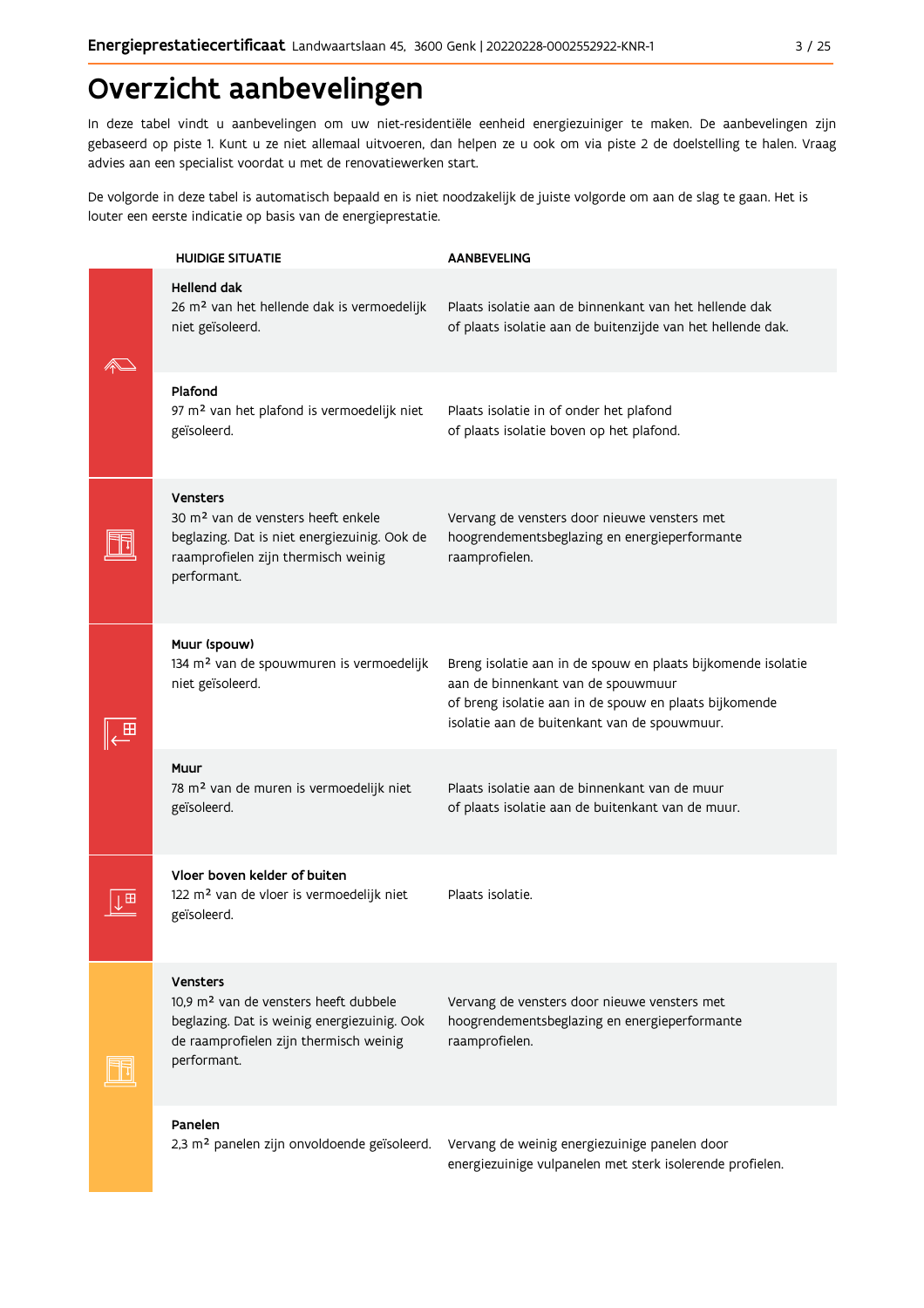## Overzicht aanbevelingen

In deze tabel vindt u aanbevelingen om uw niet-residentiële eenheid energiezuiniger te maken. De aanbevelingen zijn gebaseerd op piste 1. Kunt u ze niet allemaal uitvoeren, dan helpen ze u ook om via piste 2 de doelstelling te halen. Vraag advies aan een specialist voordat u met de renovatiewerken start.

De volgorde in deze tabel is automatisch bepaald en is niet noodzakelijk de juiste volgorde om aan de slag te gaan. Het is louter een eerste indicatie op basis van de energieprestatie.

| <b>HUIDIGE SITUATIE</b>                                                                                                                                                      | <b>AANBEVELING</b>                                                                                                                                                                                           |
|------------------------------------------------------------------------------------------------------------------------------------------------------------------------------|--------------------------------------------------------------------------------------------------------------------------------------------------------------------------------------------------------------|
| <b>Hellend dak</b><br>26 m <sup>2</sup> van het hellende dak is vermoedelijk<br>niet geïsoleerd.                                                                             | Plaats isolatie aan de binnenkant van het hellende dak<br>of plaats isolatie aan de buitenzijde van het hellende dak.                                                                                        |
| Plafond<br>97 m <sup>2</sup> van het plafond is vermoedelijk niet<br>geïsoleerd.                                                                                             | Plaats isolatie in of onder het plafond<br>of plaats isolatie boven op het plafond.                                                                                                                          |
| <b>Vensters</b><br>30 m <sup>2</sup> van de vensters heeft enkele<br>beglazing. Dat is niet energiezuinig. Ook de<br>raamprofielen zijn thermisch weinig<br>performant.      | Vervang de vensters door nieuwe vensters met<br>hoogrendementsbeglazing en energieperformante<br>raamprofielen.                                                                                              |
| Muur (spouw)<br>134 m <sup>2</sup> van de spouwmuren is vermoedelijk<br>niet geïsoleerd.                                                                                     | Breng isolatie aan in de spouw en plaats bijkomende isolatie<br>aan de binnenkant van de spouwmuur<br>of breng isolatie aan in de spouw en plaats bijkomende<br>isolatie aan de buitenkant van de spouwmuur. |
| Muur<br>78 m <sup>2</sup> van de muren is vermoedelijk niet<br>geïsoleerd.                                                                                                   | Plaats isolatie aan de binnenkant van de muur<br>of plaats isolatie aan de buitenkant van de muur.                                                                                                           |
| Vloer boven kelder of buiten<br>122 m <sup>2</sup> van de vloer is vermoedelijk niet<br>geïsoleerd.                                                                          | Plaats isolatie.                                                                                                                                                                                             |
| <b>Vensters</b><br>10.9 m <sup>2</sup> van de vensters heeft dubbele<br>beglazing. Dat is weinig energiezuinig. Ook<br>de raamprofielen zijn thermisch weinig<br>performant. | Vervang de vensters door nieuwe vensters met<br>hoogrendementsbeglazing en energieperformante<br>raamprofielen.                                                                                              |
| Panelen<br>2,3 m <sup>2</sup> panelen zijn onvoldoende geïsoleerd.                                                                                                           | Vervang de weinig energiezuinige panelen door<br>energiezuinige vulpanelen met sterk isolerende profielen.                                                                                                   |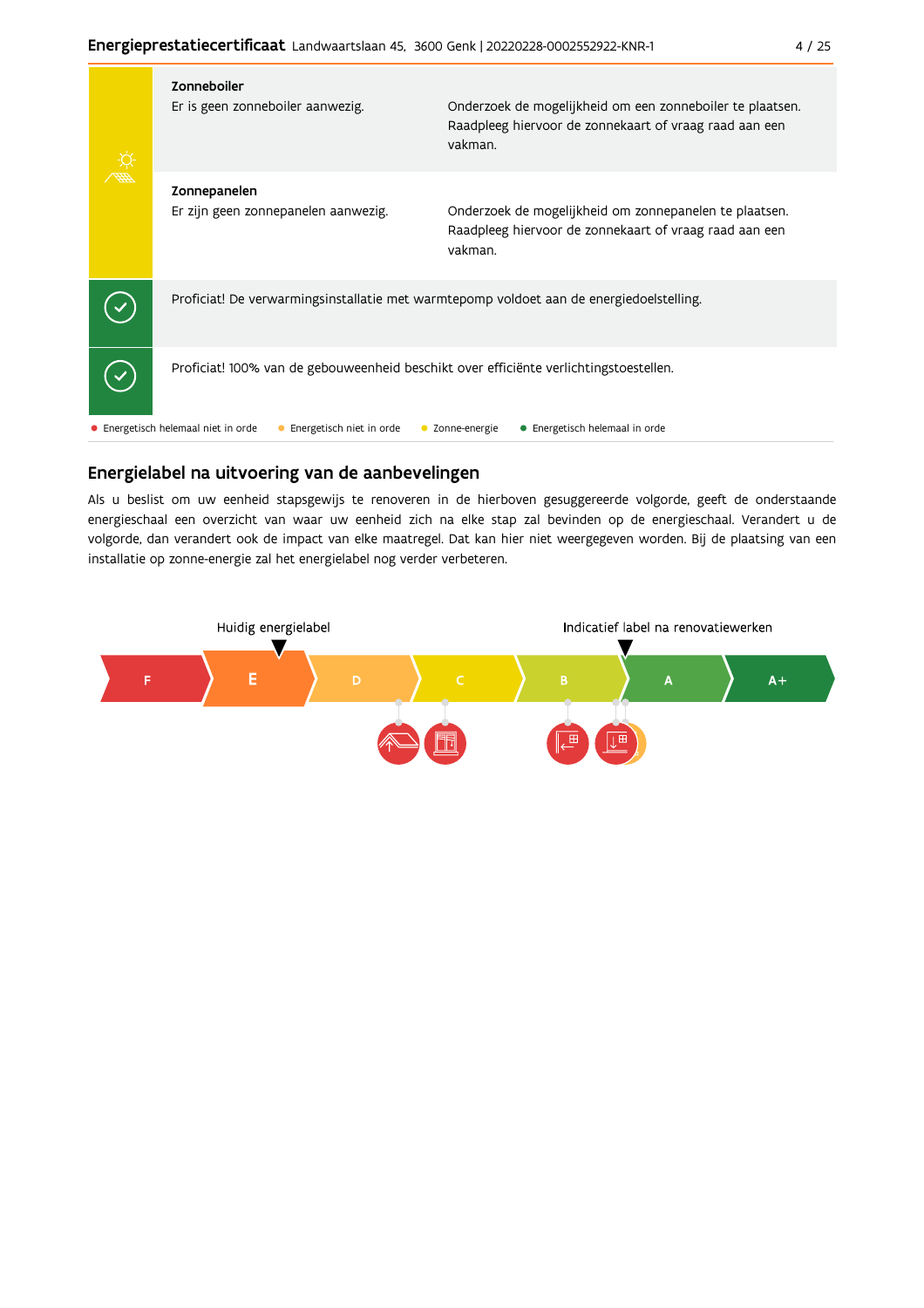| Zonneboiler<br>Er is geen zonneboiler aanwezig.                                         | Onderzoek de mogelijkheid om een zonneboiler te plaatsen.<br>Raadpleeg hiervoor de zonnekaart of vraag raad aan een<br>vakman. |
|-----------------------------------------------------------------------------------------|--------------------------------------------------------------------------------------------------------------------------------|
| Zonnepanelen<br>Er zijn geen zonnepanelen aanwezig.                                     | Onderzoek de mogelijkheid om zonnepanelen te plaatsen.<br>Raadpleeg hiervoor de zonnekaart of vraag raad aan een<br>vakman.    |
| Proficiat! De verwarmingsinstallatie met warmtepomp voldoet aan de energiedoelstelling. |                                                                                                                                |
| Proficiat! 100% van de gebouweenheid beschikt over efficiënte verlichtingstoestellen.   |                                                                                                                                |
| • Energetisch helemaal niet in orde<br>Energetisch niet in orde                         | • Energetisch helemaal in orde<br>Zonne-energie                                                                                |

### Energielabel na uitvoering van de aanbevelingen

Als u beslist om uw eenheid stapsgewijs te renoveren in de hierboven gesuggereerde volgorde, geeft de onderstaande energieschaal een overzicht van waar uw eenheid zich na elke stap zal bevinden op de energieschaal. Verandert u de volgorde, dan verandert ook de impact van elke maatregel. Dat kan hier niet weergegeven worden. Bij de plaatsing van een installatie op zonne-energie zal het energielabel nog verder verbeteren.

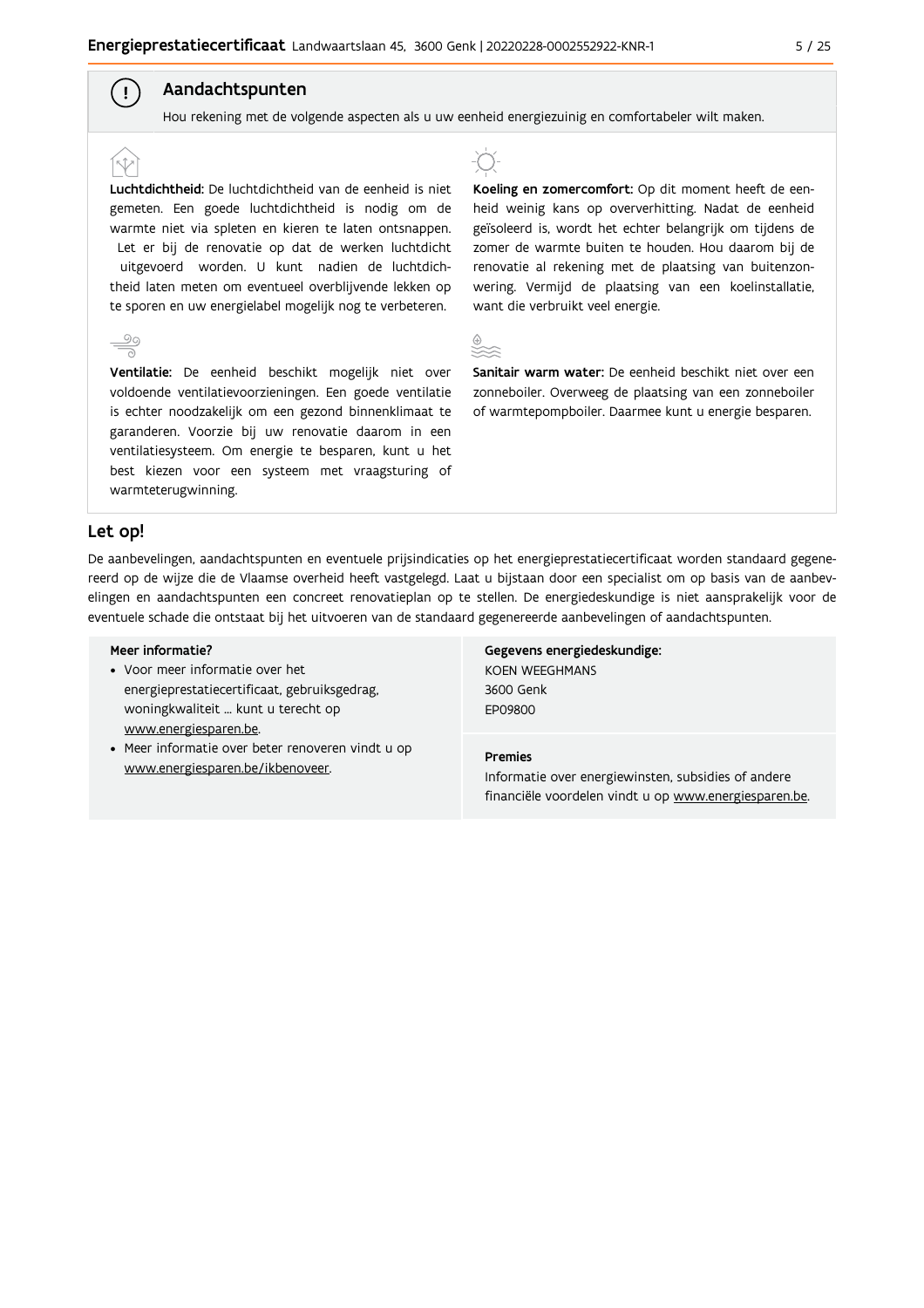#### Aandachtspunten

Hou rekening met de volgende aspecten als u uw eenheid energiezuinig en comfortabeler wilt maken.

Luchtdichtheid: De luchtdichtheid van de eenheid is niet gemeten. Een goede luchtdichtheid is nodig om de warmte niet via spleten en kieren te laten ontsnappen. Let er bij de renovatie op dat de werken luchtdicht uitgevoerd worden. U kunt nadien de luchtdichtheid laten meten om eventueel overblijvende lekken op te sporen en uw energielabel mogelijk nog te verbeteren.



 $\left( \begin{array}{c} 1 \end{array} \right)$ 

Ventilatie: De eenheid beschikt mogelijk niet over voldoende ventilatievoorzieningen. Een goede ventilatie is echter noodzakelijk om een gezond binnenklimaat te garanderen. Voorzie bij uw renovatie daarom in een ventilatiesysteem. Om energie te besparen, kunt u het best kiezen voor een systeem met vraagsturing of warmteterugwinning.



Koeling en zomercomfort: Op dit moment heeft de eenheid weinig kans op oververhitting. Nadat de eenheid geïsoleerd is, wordt het echter belangrijk om tijdens de zomer de warmte buiten te houden. Hou daarom bij de renovatie al rekening met de plaatsing van buitenzonwering. Vermijd de plaatsing van een koelinstallatie, want die verbruikt veel energie.



Sanitair warm water: De eenheid beschikt niet over een zonneboiler. Overweeg de plaatsing van een zonneboiler of warmtepompboiler. Daarmee kunt u energie besparen.

#### Let op!

De aanbevelingen, aandachtspunten en eventuele prijsindicaties op het energieprestatiecertificaat worden standaard gegenereerd op de wijze die de Vlaamse overheid heeft vastgelegd. Laat u bijstaan door een specialist om op basis van de aanbevelingen en aandachtspunten een concreet renovatieplan op te stellen. De energiedeskundige is niet aansprakelijk voor de eventuele schade die ontstaat bij het uitvoeren van de standaard gegenereerde aanbevelingen of aandachtspunten.

#### Meer informatie?

- Voor meer informatie over het energieprestatiecertificaat, gebruiksgedrag, woningkwaliteit ... kunt u terecht op www.energiesparen.be.
- Meer informatie over beter renoveren vindt u op www.energiesparen.be/ikbenoveer.

Gegevens energiedeskundige: KOEN WEEGHMANS 3600 Genk **EP09800** 

#### **Premies**

Informatie over energiewinsten, subsidies of andere financiële voordelen vindt u op www.energiesparen.be.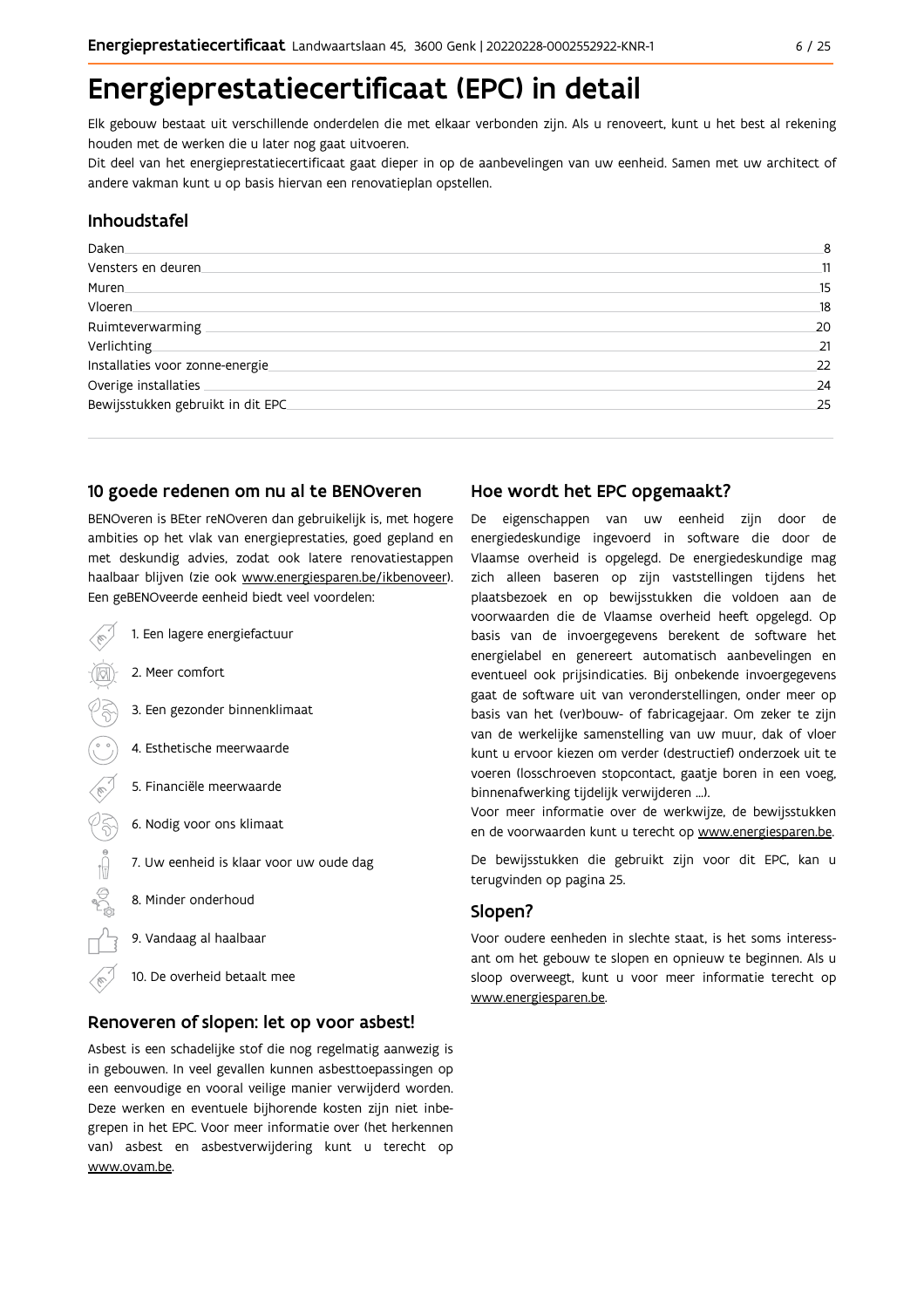## Energieprestatiecertificaat (EPC) in detail

Elk gebouw bestaat uit verschillende onderdelen die met elkaar verbonden zijn. Als u renoveert, kunt u het best al rekening houden met de werken die u later nog gaat uitvoeren.

Dit deel van het energieprestatiecertificaat gaat dieper in op de aanbevelingen van uw eenheid. Samen met uw architect of andere vakman kunt u op basis hiervan een renovatieplan opstellen.

#### Inhoudstafel

| Daken                             | 8  |
|-----------------------------------|----|
| Vensters en deuren                | 11 |
| Muren.                            | 15 |
| Vloeren                           | 18 |
| Ruimteverwarming                  | 20 |
| Verlichting                       | 21 |
| Installaties voor zonne-energie   | 22 |
| Overige installaties              | 24 |
| Bewijsstukken gebruikt in dit EPC | 25 |

#### 10 goede redenen om nu al te BENOveren

BENOveren is BEter reNOveren dan gebruikelijk is, met hogere ambities op het vlak van energieprestaties, goed gepland en met deskundig advies, zodat ook latere renovatiestappen haalbaar blijven (zie ook www.energiesparen.be/ikbenoveer). Een geBENOveerde eenheid biedt veel voordelen:

- 1. Een lagere energiefactuur 2. Meer comfort 3. Een gezonder binnenklimaat 4. Esthetische meerwaarde 5. Financiële meerwaarde  $\sqrt{3}$ 6. Nodig voor ons klimaat  $\begin{picture}(150,10) \put(0,0){\line(1,0){10}} \put(15,0){\line(1,0){10}} \put(15,0){\line(1,0){10}} \put(15,0){\line(1,0){10}} \put(15,0){\line(1,0){10}} \put(15,0){\line(1,0){10}} \put(15,0){\line(1,0){10}} \put(15,0){\line(1,0){10}} \put(15,0){\line(1,0){10}} \put(15,0){\line(1,0){10}} \put(15,0){\line(1,0){10}} \put(15,0){\line($ 7. Uw eenheid is klaar voor uw oude dag 8. Minder onderhoud
	- 9. Vandaag al haalbaar
	- 10. De overheid betaalt mee

#### Renoveren of slopen: let op voor asbest!

Asbest is een schadelijke stof die nog regelmatig aanwezig is in gebouwen. In veel gevallen kunnen asbesttoepassingen op een eenvoudige en vooral veilige manier verwijderd worden. Deze werken en eventuele bijhorende kosten zijn niet inbegrepen in het EPC. Voor meer informatie over (het herkennen van) asbest en asbestverwijdering kunt u terecht op www.ovam.be.

### Hoe wordt het EPC opgemaakt?

De eigenschappen van uw eenheid zijn door de energiedeskundige ingevoerd in software die door de Vlaamse overheid is opgelegd. De energiedeskundige mag zich alleen baseren op zijn vaststellingen tijdens het plaatsbezoek en op bewijsstukken die voldoen aan de voorwaarden die de Vlaamse overheid heeft opgelegd. Op basis van de invoergegevens berekent de software het energielabel en genereert automatisch aanbevelingen en eventueel ook prijsindicaties. Bij onbekende invoergegevens gaat de software uit van veronderstellingen, onder meer op basis van het (ver)bouw- of fabricagejaar. Om zeker te zijn van de werkelijke samenstelling van uw muur, dak of vloer kunt u ervoor kiezen om verder (destructief) onderzoek uit te voeren (losschroeven stopcontact, gaatje boren in een voeg, binnenafwerking tijdelijk verwijderen ...).

Voor meer informatie over de werkwijze, de bewijsstukken en de voorwaarden kunt u terecht op www.energiesparen.be.

De bewijsstukken die gebruikt zijn voor dit EPC, kan u terugvinden op pagina 25.

### Slopen?

Voor oudere eenheden in slechte staat, is het soms interessant om het gebouw te slopen en opnieuw te beginnen. Als u sloop overweegt, kunt u voor meer informatie terecht op www.energiesparen.be.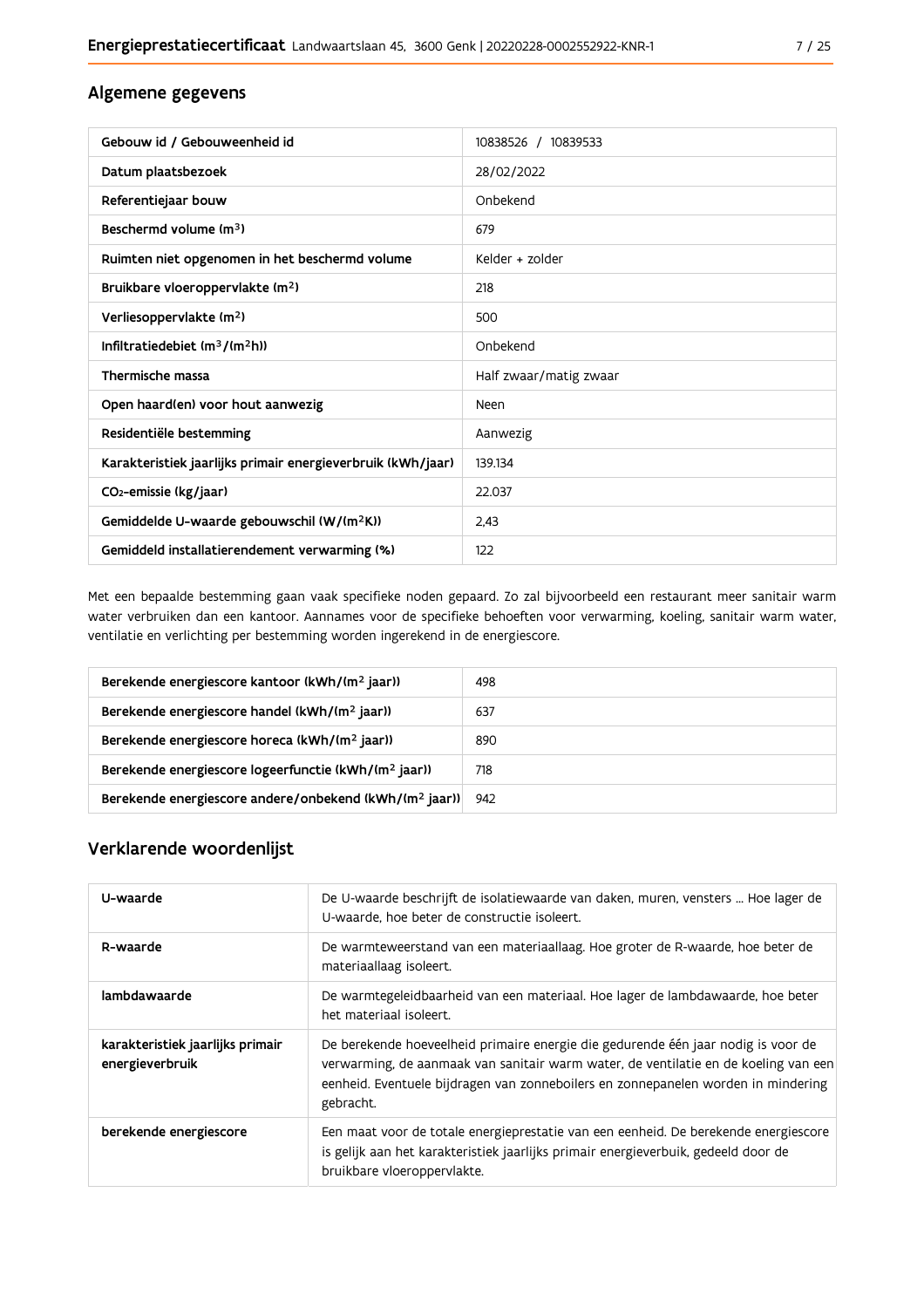### Algemene gegevens

| Gebouw id / Gebouweenheid id                                | 10838526 / 10839533    |
|-------------------------------------------------------------|------------------------|
| Datum plaatsbezoek                                          | 28/02/2022             |
| Referentiejaar bouw                                         | Onbekend               |
| Beschermd volume (m <sup>3</sup> )                          | 679                    |
| Ruimten niet opgenomen in het beschermd volume              | Kelder + zolder        |
| Bruikbare vloeroppervlakte (m <sup>2</sup> )                | 218                    |
| Verliesoppervlakte (m <sup>2</sup> )                        | 500                    |
| Infiltratiedebiet $(m^3/(m^2h))$                            | Onbekend               |
| Thermische massa                                            | Half zwaar/matig zwaar |
| Open haard(en) voor hout aanwezig                           | <b>Neen</b>            |
| Residentiële bestemming                                     | Aanwezig               |
| Karakteristiek jaarlijks primair energieverbruik (kWh/jaar) | 139.134                |
| CO <sub>2</sub> -emissie (kg/jaar)                          | 22.037                 |
| Gemiddelde U-waarde gebouwschil (W/(m <sup>2</sup> K))      | 2.43                   |
| Gemiddeld installatierendement verwarming (%)               | 122                    |

Met een bepaalde bestemming gaan vaak specifieke noden gepaard. Zo zal bijvoorbeeld een restaurant meer sanitair warm water verbruiken dan een kantoor. Aannames voor de specifieke behoeften voor verwarming, koeling, sanitair warm water, ventilatie en verlichting per bestemming worden ingerekend in de energiescore.

| Berekende energiescore kantoor (kWh/(m <sup>2</sup> jaar))         | 498 |
|--------------------------------------------------------------------|-----|
| Berekende energiescore handel (kWh/(m <sup>2</sup> jaar))          | 637 |
| Berekende energiescore horeca (kWh/(m <sup>2</sup> jaar))          | 890 |
| Berekende energiescore logeerfunctie (kWh/(m <sup>2</sup> jaar))   | 718 |
| Berekende energiescore andere/onbekend (kWh/(m <sup>2</sup> jaar)) | 942 |

## Verklarende woordenlijst

| U-waarde                                            | De U-waarde beschrijft de isolatiewaarde van daken, muren, vensters  Hoe lager de<br>U-waarde, hoe beter de constructie isoleert.                                                                                                                                          |
|-----------------------------------------------------|----------------------------------------------------------------------------------------------------------------------------------------------------------------------------------------------------------------------------------------------------------------------------|
| R-waarde                                            | De warmteweerstand van een materiaallaag. Hoe groter de R-waarde, hoe beter de<br>materiaallaag isoleert.                                                                                                                                                                  |
| lambdawaarde                                        | De warmtegeleidbaarheid van een materiaal. Hoe lager de lambdawaarde, hoe beter<br>het materiaal isoleert.                                                                                                                                                                 |
| karakteristiek jaarlijks primair<br>energieverbruik | De berekende hoeveelheid primaire energie die gedurende één jaar nodig is voor de<br>verwarming, de aanmaak van sanitair warm water, de ventilatie en de koeling van een<br>eenheid. Eventuele bijdragen van zonneboilers en zonnepanelen worden in mindering<br>gebracht. |
| berekende energiescore                              | Een maat voor de totale energieprestatie van een eenheid. De berekende energiescore<br>is gelijk aan het karakteristiek jaarlijks primair energieverbuik, gedeeld door de<br>bruikbare vloeroppervlakte.                                                                   |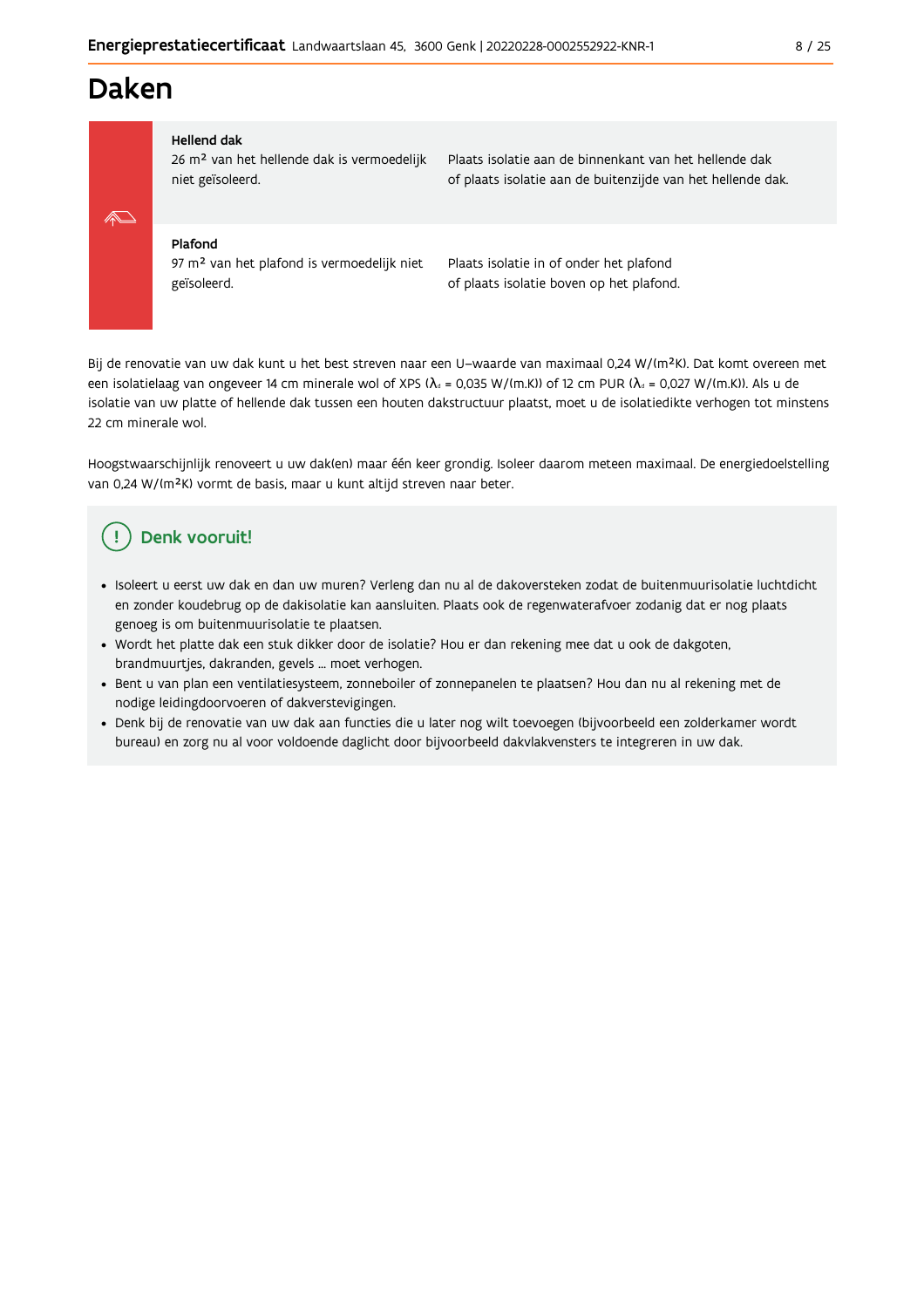## **Daken**



#### **Hellend dak**

26 m<sup>2</sup> van het hellende dak is vermoedelijk niet geïsoleerd.

Plaats isolatie aan de binnenkant van het hellende dak of plaats isolatie aan de buitenzijde van het hellende dak.

#### Plafond

97 m<sup>2</sup> van het plafond is vermoedelijk niet geïsoleerd.

Plaats isolatie in of onder het plafond of plaats isolatie boven op het plafond.

Bij de renovatie van uw dak kunt u het best streven naar een U-waarde van maximaal 0,24 W/(m<sup>2</sup>K). Dat komt overeen met een isolatielaag van ongeveer 14 cm minerale wol of XPS ( $\lambda_a$  = 0,035 W/(m.K)) of 12 cm PUR ( $\lambda_a$  = 0,027 W/(m.K)). Als u de isolatie van uw platte of hellende dak tussen een houten dakstructuur plaatst, moet u de isolatiedikte verhogen tot minstens 22 cm minerale wol.

Hoogstwaarschijnlijk renoveert u uw dak(en) maar één keer grondig. Isoleer daarom meteen maximaal. De energiedoelstelling van 0,24 W/(m<sup>2</sup>K) vormt de basis, maar u kunt altijd streven naar beter.

#### Denk vooruit! Ţ

- · Isoleert u eerst uw dak en dan uw muren? Verleng dan nu al de dakoversteken zodat de buitenmuurisolatie luchtdicht en zonder koudebrug op de dakisolatie kan aansluiten. Plaats ook de regenwaterafvoer zodanig dat er nog plaats genoeg is om buitenmuurisolatie te plaatsen.
- · Wordt het platte dak een stuk dikker door de isolatie? Hou er dan rekening mee dat u ook de dakgoten, brandmuurtjes, dakranden, gevels ... moet verhogen.
- · Bent u van plan een ventilatiesysteem, zonneboiler of zonnepanelen te plaatsen? Hou dan nu al rekening met de nodige leidingdoorvoeren of dakverstevigingen.
- · Denk bij de renovatie van uw dak aan functies die u later nog wilt toevoegen (bijvoorbeeld een zolderkamer wordt bureau) en zorg nu al voor voldoende daglicht door bijvoorbeeld dakvlakvensters te integreren in uw dak.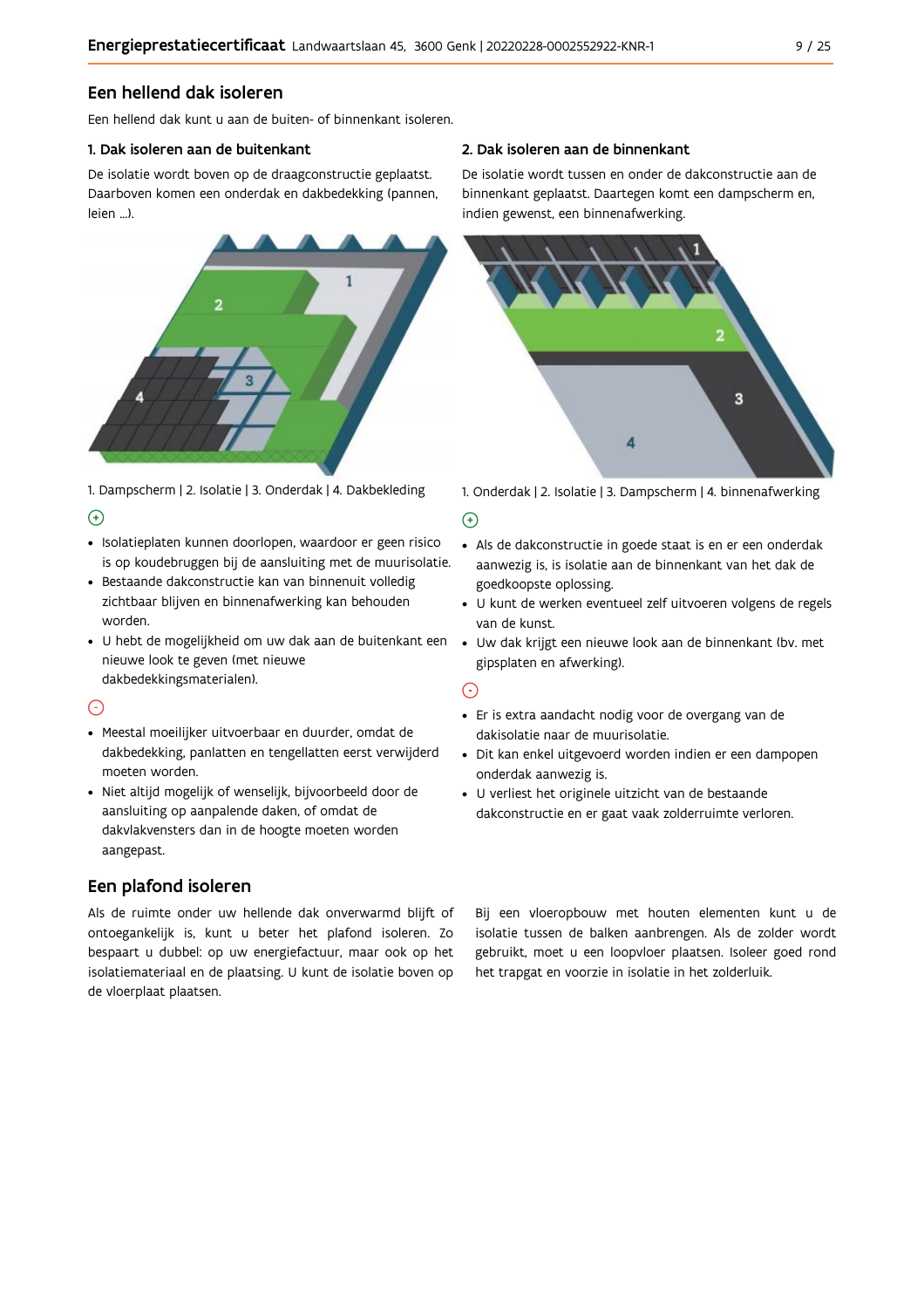#### Een hellend dak isoleren

Een hellend dak kunt u aan de buiten- of binnenkant isoleren.

#### 1. Dak isoleren aan de buitenkant

De isolatie wordt boven op de draagconstructie geplaatst. Daarboven komen een onderdak en dakbedekking (pannen, leien ...).



1. Dampscherm | 2. Isolatie | 3. Onderdak | 4. Dakbekleding  $\Theta$ 

- · Isolatieplaten kunnen doorlopen, waardoor er geen risico is op koudebruggen bij de aansluiting met de muurisolatie.
- · Bestaande dakconstructie kan van binnenuit volledig zichtbaar blijven en binnenafwerking kan behouden worden.
- · U hebt de mogelijkheid om uw dak aan de buitenkant een nieuwe look te geven (met nieuwe dakbedekkingsmaterialen).

#### $\odot$

- · Meestal moeilijker uitvoerbaar en duurder, omdat de dakbedekking, panlatten en tengellatten eerst verwijderd moeten worden.
- · Niet altijd mogelijk of wenselijk, bijvoorbeeld door de aansluiting op aanpalende daken, of omdat de dakvlakvensters dan in de hoogte moeten worden aangepast.

### Een plafond isoleren

Als de ruimte onder uw hellende dak onverwarmd blijft of ontoegankelijk is, kunt u beter het plafond isoleren. Zo bespaart u dubbel: op uw energiefactuur, maar ook op het isolatiemateriaal en de plaatsing. U kunt de isolatie boven op de vloerplaat plaatsen.

#### 2. Dak isoleren aan de binnenkant

De isolatie wordt tussen en onder de dakconstructie aan de binnenkant geplaatst. Daartegen komt een dampscherm en, indien gewenst, een binnenafwerking.



1. Onderdak | 2. Isolatie | 3. Dampscherm | 4. binnenafwerking

#### $\bigoplus$

- Als de dakconstructie in goede staat is en er een onderdak aanwezig is, is isolatie aan de binnenkant van het dak de goedkoopste oplossing.
- · U kunt de werken eventueel zelf uitvoeren volgens de regels van de kunst.
- · Uw dak krijgt een nieuwe look aan de binnenkant (bv. met gipsplaten en afwerking).

#### $\odot$

- · Er is extra aandacht nodig voor de overgang van de dakisolatie naar de muurisolatie.
- · Dit kan enkel uitgevoerd worden indien er een dampopen onderdak aanwezig is.
- · U verliest het originele uitzicht van de bestaande dakconstructie en er gaat vaak zolderruimte verloren.

Bij een vloeropbouw met houten elementen kunt u de isolatie tussen de balken aanbrengen. Als de zolder wordt gebruikt, moet u een loopvloer plaatsen. Isoleer goed rond het trapgat en voorzie in isolatie in het zolderluik.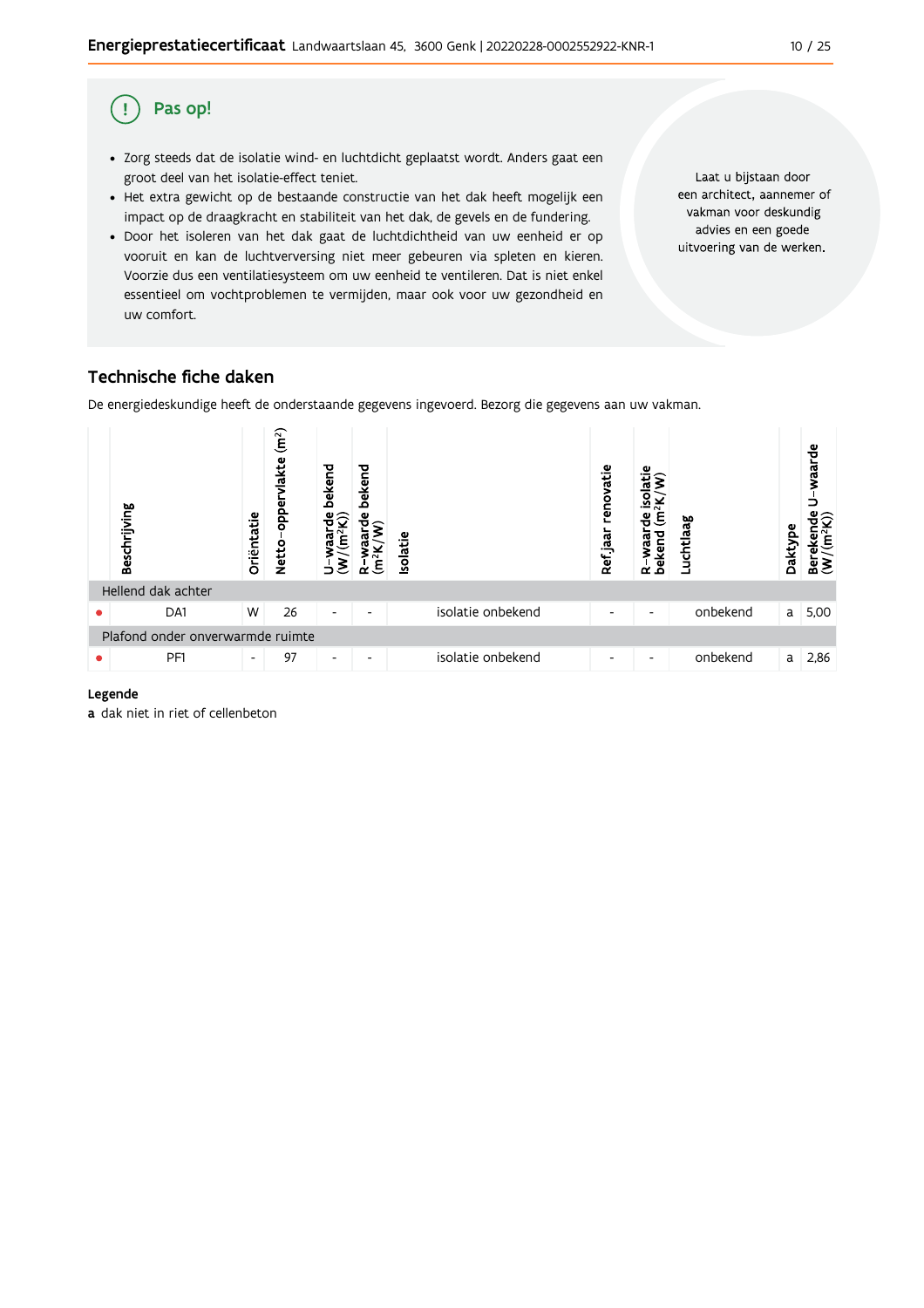#### Pas op!  $\left( \begin{array}{c} 1 \end{array} \right)$

- · Zorg steeds dat de isolatie wind- en luchtdicht geplaatst wordt. Anders gaat een groot deel van het isolatie-effect teniet.
- Het extra gewicht op de bestaande constructie van het dak heeft mogelijk een impact op de draagkracht en stabiliteit van het dak, de gevels en de fundering.
- · Door het isoleren van het dak gaat de luchtdichtheid van uw eenheid er op vooruit en kan de luchtverversing niet meer gebeuren via spleten en kieren. Voorzie dus een ventilatiesysteem om uw eenheid te ventileren. Dat is niet enkel essentieel om vochtproblemen te vermijden, maar ook voor uw gezondheid en uw comfort.

Laat u bijstaan door een architect, aannemer of vakman voor deskundig advies en een goede uitvoering van de werken.

## Technische fiche daken

De energiedeskundige heeft de onderstaande gegevens ingevoerd. Bezorg die gegevens aan uw vakman.



#### Legende

a dak niet in riet of cellenbeton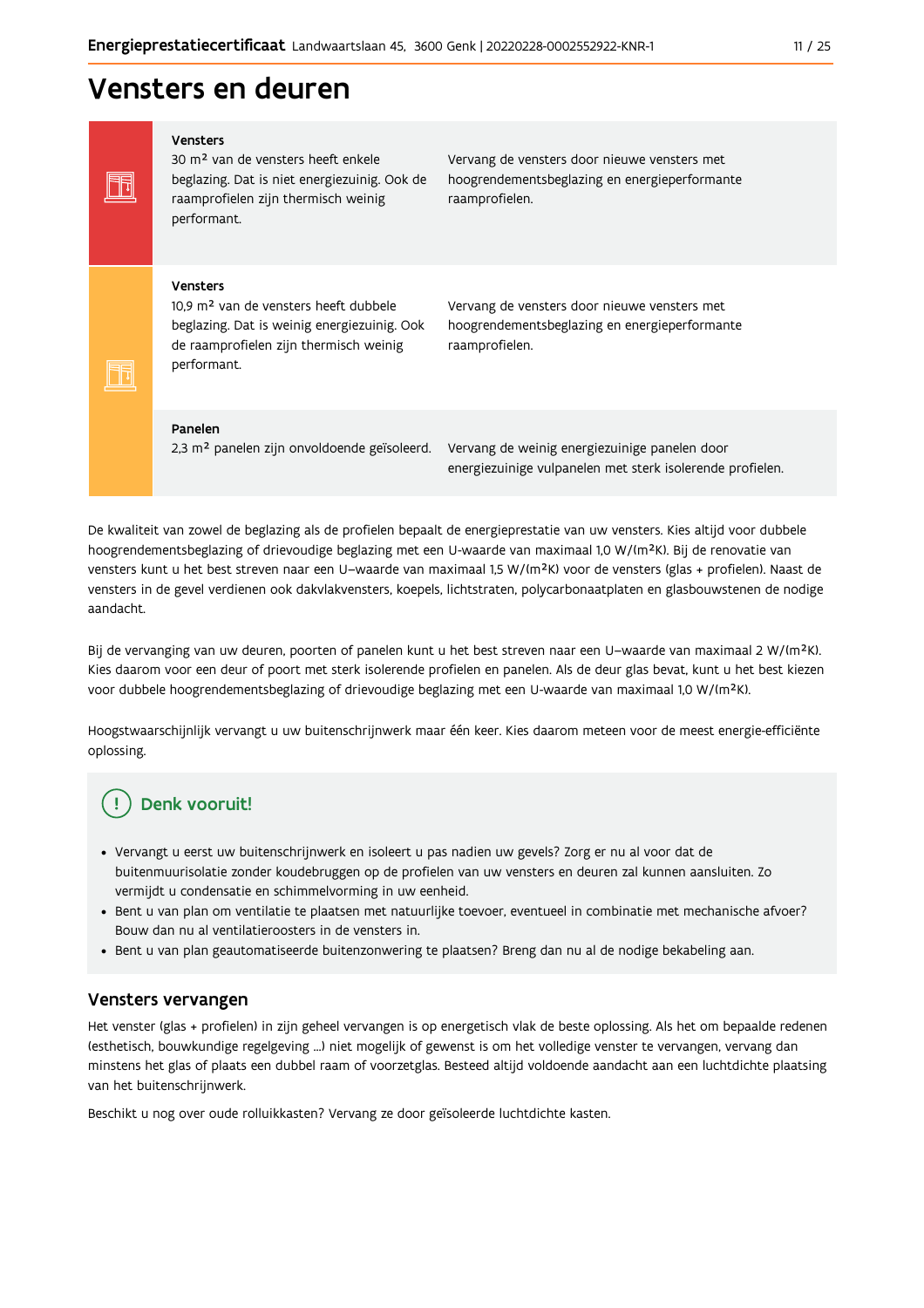## Vensters en deuren

Vensters 30 m<sup>2</sup> van de vensters heeft enkele beglazing. Dat is niet energiezuinig. Ook de raamprofielen zijn thermisch weinig performant.

Vervang de vensters door nieuwe vensters met hoogrendementsbeglazing en energieperformante raamprofielen.

#### Vensters

Ħ

FF

10,9 m<sup>2</sup> van de vensters heeft dubbele beglazing. Dat is weinig energiezuinig. Ook de raamprofielen zijn thermisch weinig performant.

Vervang de vensters door nieuwe vensters met hoogrendementsbeglazing en energieperformante raamprofielen.

#### Panelen

2,3 m<sup>2</sup> panelen zijn onvoldoende geïsoleerd. Vervang de weinig energiezuinige panelen door

energiezuinige vulpanelen met sterk isolerende profielen.

De kwaliteit van zowel de beglazing als de profielen bepaalt de energieprestatie van uw vensters. Kies altijd voor dubbele hoogrendementsbeglazing of drievoudige beglazing met een U-waarde van maximaal 1,0 W/(m<sup>2</sup>K). Bij de renovatie van vensters kunt u het best streven naar een U-waarde van maximaal 1,5 W/(m<sup>2</sup>K) voor de vensters (glas + profielen). Naast de vensters in de gevel verdienen ook dakvlakvensters, koepels, lichtstraten, polycarbonaatplaten en glasbouwstenen de nodige aandacht.

Bij de vervanging van uw deuren, poorten of panelen kunt u het best streven naar een U-waarde van maximaal 2 W/(m<sup>2</sup>K). Kies daarom voor een deur of poort met sterk isolerende profielen en panelen. Als de deur glas bevat, kunt u het best kiezen voor dubbele hoogrendementsbeglazing of drievoudige beglazing met een U-waarde van maximaal 1,0 W/(m<sup>2</sup>K).

Hoogstwaarschijnlijk vervangt u uw buitenschrijnwerk maar één keer. Kies daarom meteen voor de meest energie-efficiënte oplossing.

## Denk vooruit!

- · Vervangt u eerst uw buitenschrijnwerk en isoleert u pas nadien uw gevels? Zorg er nu al voor dat de buitenmuurisolatie zonder koudebruggen op de profielen van uw vensters en deuren zal kunnen aansluiten. Zo vermijdt u condensatie en schimmelvorming in uw eenheid.
- Bent u van plan om ventilatie te plaatsen met natuurlijke toevoer, eventueel in combinatie met mechanische afvoer? Bouw dan nu al ventilatieroosters in de vensters in.
- · Bent u van plan geautomatiseerde buitenzonwering te plaatsen? Breng dan nu al de nodige bekabeling aan.

#### Vensters vervangen

Het venster (glas + profielen) in zijn geheel vervangen is op energetisch vlak de beste oplossing. Als het om bepaalde redenen (esthetisch, bouwkundige regelgeving ...) niet mogelijk of gewenst is om het volledige venster te vervangen, vervang dan minstens het glas of plaats een dubbel raam of voorzetglas. Besteed altijd voldoende aandacht aan een luchtdichte plaatsing van het buitenschrijnwerk.

Beschikt u nog over oude rolluikkasten? Vervang ze door geïsoleerde luchtdichte kasten.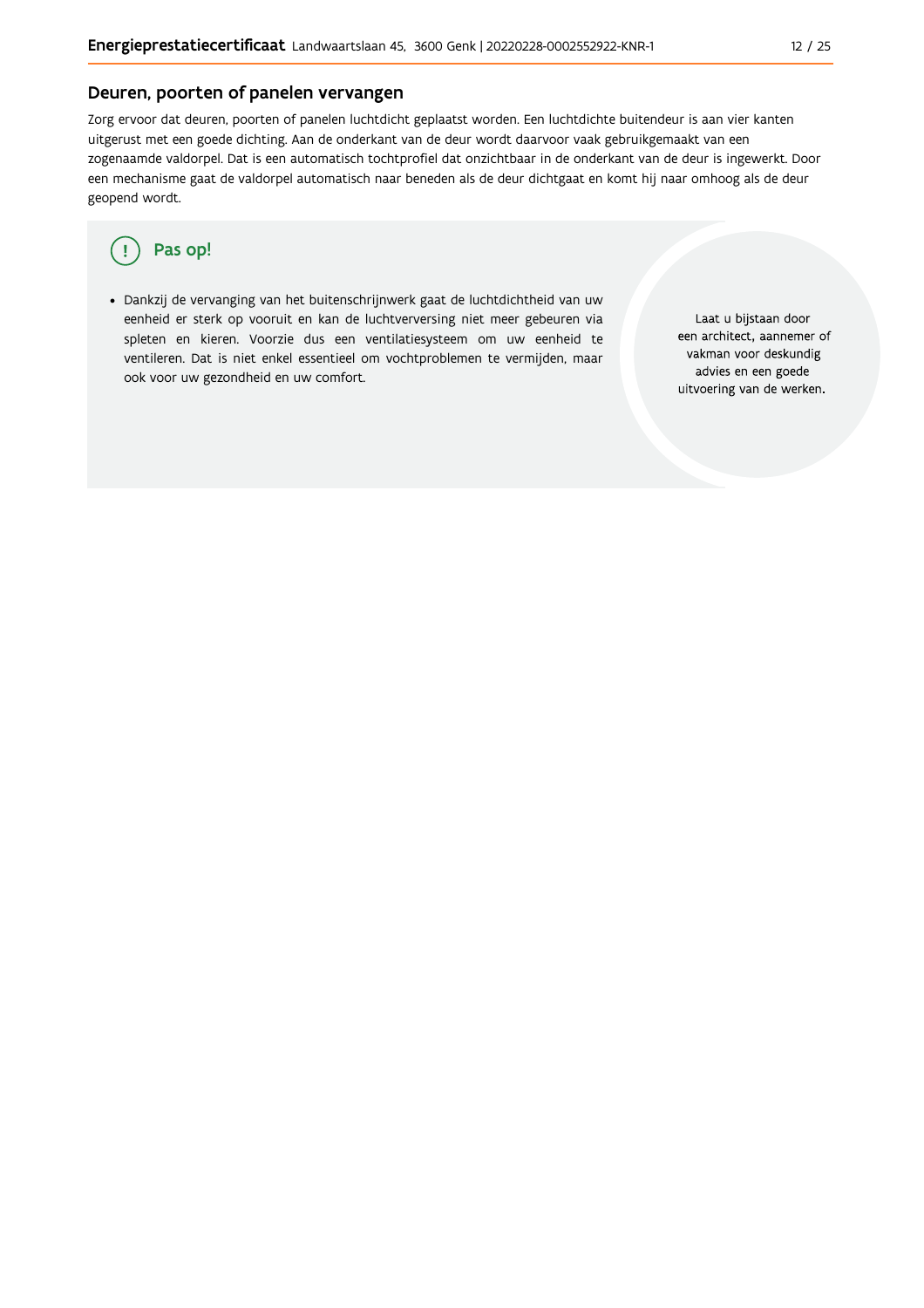### Deuren, poorten of panelen vervangen

Zorg ervoor dat deuren, poorten of panelen luchtdicht geplaatst worden. Een luchtdichte buitendeur is aan vier kanten uitgerust met een goede dichting. Aan de onderkant van de deur wordt daarvoor vaak gebruikgemaakt van een zogenaamde valdorpel. Dat is een automatisch tochtprofiel dat onzichtbaar in de onderkant van de deur is ingewerkt. Door een mechanisme gaat de valdorpel automatisch naar beneden als de deur dichtgaat en komt hij naar omhoog als de deur geopend wordt.

#### Pas op! ( !

· Dankzij de vervanging van het buitenschrijnwerk gaat de luchtdichtheid van uw eenheid er sterk op vooruit en kan de luchtverversing niet meer gebeuren via spleten en kieren. Voorzie dus een ventilatiesysteem om uw eenheid te ventileren. Dat is niet enkel essentieel om vochtproblemen te vermijden, maar ook voor uw gezondheid en uw comfort.

Laat u bijstaan door een architect, aannemer of vakman voor deskundig advies en een goede uitvoering van de werken.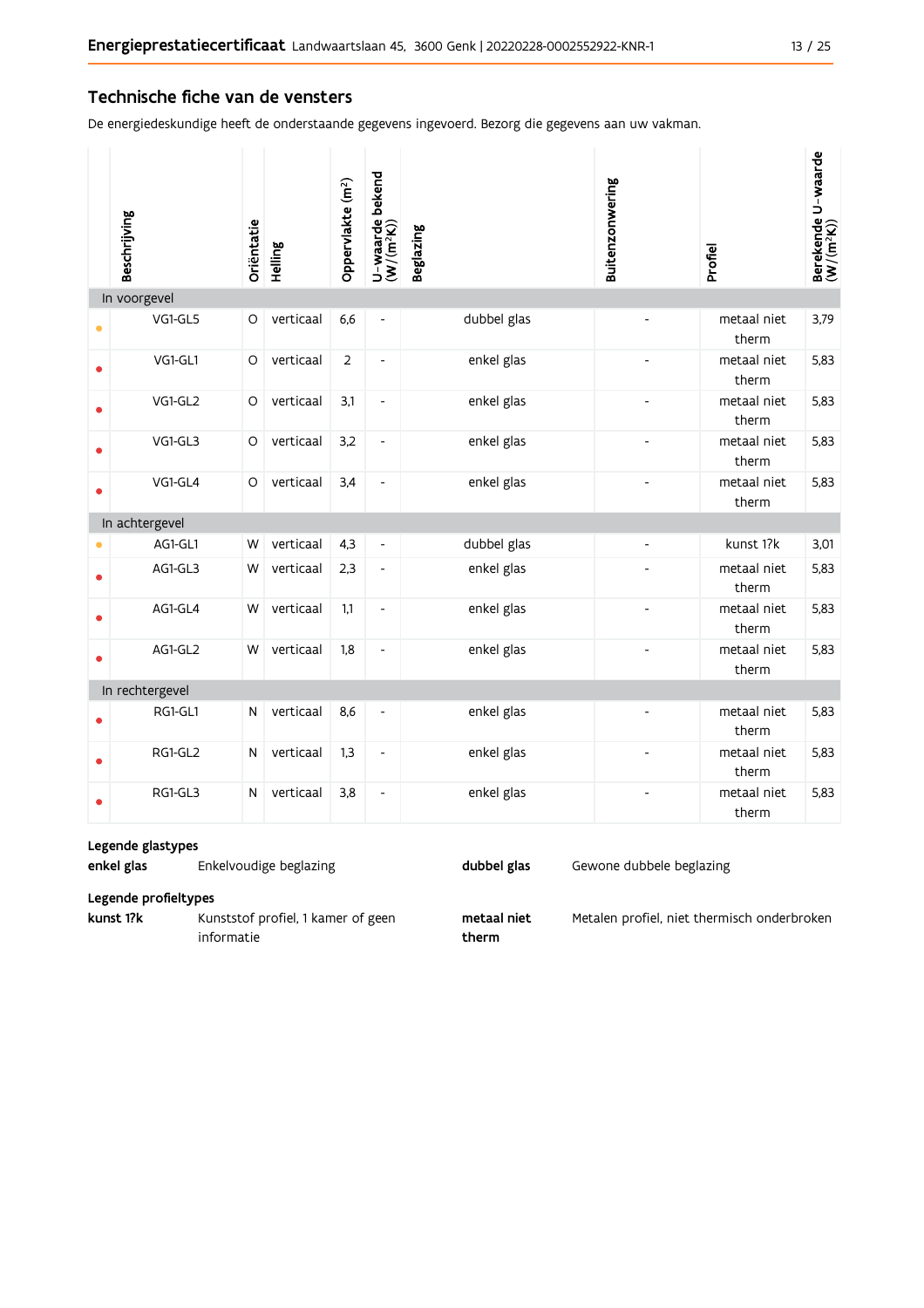#### Technische fiche van de vensters

De energiedeskundige heeft de onderstaande gegevens ingevoerd. Bezorg die gegevens aan uw vakman.

|           | Beschrijving    | Oriëntatie | Helling   | Oppervlakte (m <sup>2</sup> ) | U-waarde bekend<br>(W/(m <sup>2</sup> K)) | <b>Beglazing</b> | Buitenzonwering | Profiel              | Berekende U-waarde<br>(W/(m <sup>2</sup> K)) |
|-----------|-----------------|------------|-----------|-------------------------------|-------------------------------------------|------------------|-----------------|----------------------|----------------------------------------------|
|           | In voorgevel    |            |           |                               |                                           |                  |                 |                      |                                              |
| $\bullet$ | VG1-GL5         | O          | verticaal | 6,6                           | $\blacksquare$                            | dubbel glas      |                 | metaal niet<br>therm | 3,79                                         |
| $\bullet$ | VG1-GL1         | $\circ$    | verticaal | $\overline{2}$                | $\overline{\phantom{a}}$                  | enkel glas       |                 | metaal niet<br>therm | 5,83                                         |
|           | VG1-GL2         | $\circ$    | verticaal | 3,1                           | $\blacksquare$                            | enkel glas       | Ĭ.              | metaal niet<br>therm | 5,83                                         |
|           | VG1-GL3         | $\circ$    | verticaal | 3,2                           | $\blacksquare$                            | enkel glas       |                 | metaal niet<br>therm | 5,83                                         |
|           | VG1-GL4         | $\circ$    | verticaal | 3,4                           | $\frac{1}{2}$                             | enkel glas       |                 | metaal niet<br>therm | 5,83                                         |
|           | In achtergevel  |            |           |                               |                                           |                  |                 |                      |                                              |
|           | AG1-GL1         | W          | verticaal | 4,3                           | $\overline{\phantom{a}}$                  | dubbel glas      | ÷,              | kunst 1?k            | 3,01                                         |
|           | AG1-GL3         | W          | verticaal | 2,3                           | $\overline{a}$                            | enkel glas       |                 | metaal niet<br>therm | 5,83                                         |
|           | AG1-GL4         | W          | verticaal | 1,1                           | $\overline{\phantom{a}}$                  | enkel glas       |                 | metaal niet<br>therm | 5,83                                         |
|           | AG1-GL2         | W          | verticaal | 1,8                           | $\overline{a}$                            | enkel glas       |                 | metaal niet<br>therm | 5,83                                         |
|           | In rechtergevel |            |           |                               |                                           |                  |                 |                      |                                              |
|           | RG1-GL1         | N          | verticaal | 8,6                           | $\blacksquare$                            | enkel glas       | $\overline{a}$  | metaal niet<br>therm | 5,83                                         |
|           | RG1-GL2         | ${\sf N}$  | verticaal | 1,3                           | $\blacksquare$                            | enkel glas       |                 | metaal niet<br>therm | 5,83                                         |
|           | RG1-GL3         | N          | verticaal | 3,8                           | $\qquad \qquad \blacksquare$              | enkel glas       |                 | metaal niet<br>therm | 5,83                                         |

#### Legende glastypes

enkel glas Enkelvoudige beglazing dubbel glas

Gewone dubbele beglazing

Legende profieltypes

kunst 1?k Kunststof profiel, 1 kamer of geen informatie

metaal niet therm

Metalen profiel, niet thermisch onderbroken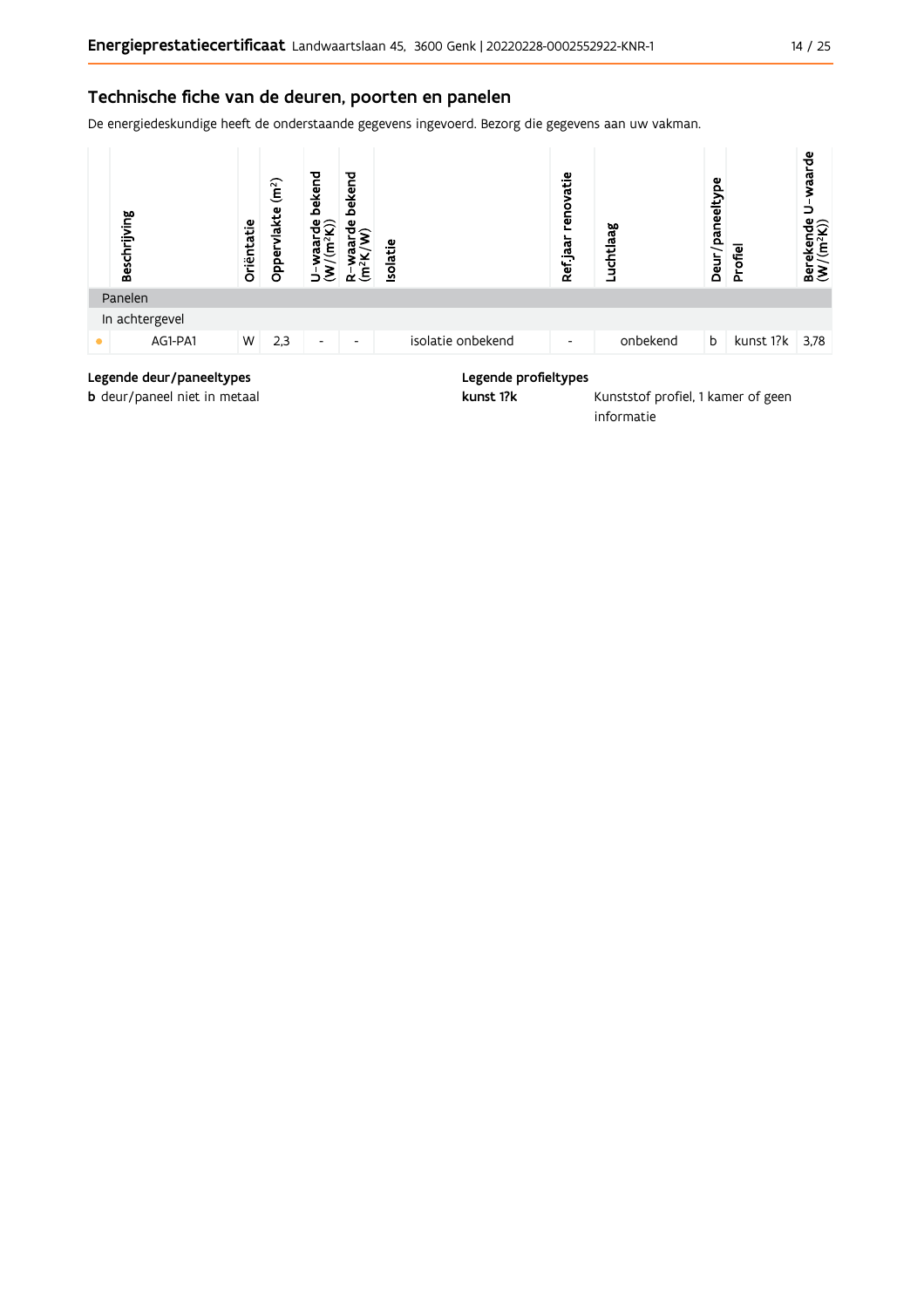### Technische fiche van de deuren, poorten en panelen

De energiedeskundige heeft de onderstaande gegevens ingevoerd. Bezorg die gegevens aan uw vakman.



#### Legende deur/paneeltypes

b deur/paneel niet in metaal

#### Legende profieltypes

kunst 1?k

Kunststof profiel, 1 kamer of geen informatie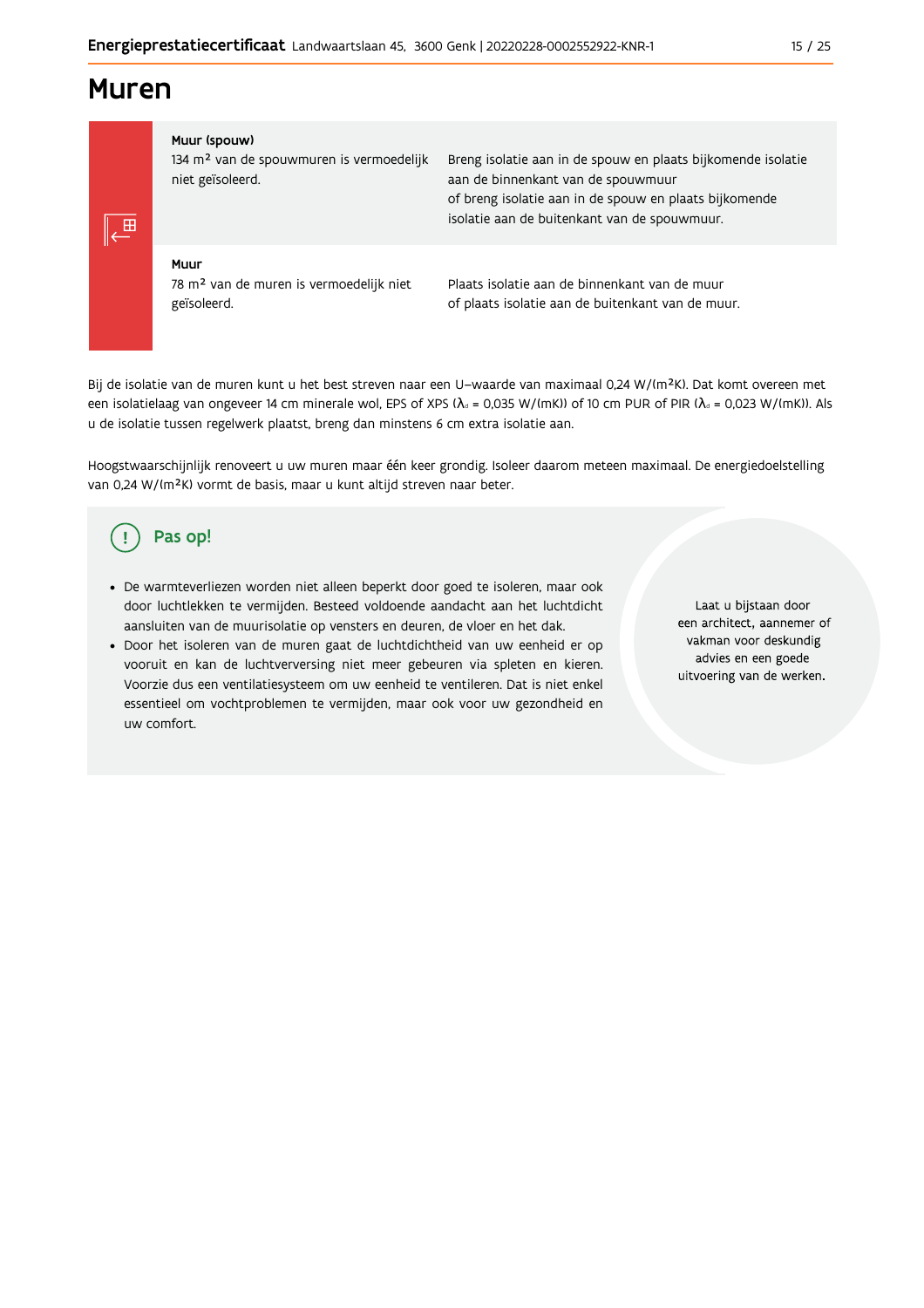## **Muren**

#### Muur (spouw)

134 m<sup>2</sup> van de spouwmuren is vermoedelijk niet geïsoleerd.

Breng isolatie aan in de spouw en plaats bijkomende isolatie aan de binnenkant van de spouwmuur of breng isolatie aan in de spouw en plaats bijkomende isolatie aan de buitenkant van de spouwmuur.

### Muur

78 m<sup>2</sup> van de muren is vermoedelijk niet geïsoleerd.

Plaats isolatie aan de binnenkant van de muur of plaats isolatie aan de buitenkant van de muur.

Bij de isolatie van de muren kunt u het best streven naar een U-waarde van maximaal 0,24 W/(m<sup>2</sup>K). Dat komt overeen met een isolatielaag van ongeveer 14 cm minerale wol, EPS of XPS ( $\lambda_a$  = 0,035 W/(mK)) of 10 cm PUR of PIR ( $\lambda_a$  = 0,023 W/(mK)). Als u de isolatie tussen regelwerk plaatst, breng dan minstens 6 cm extra isolatie aan.

Hoogstwaarschijnlijk renoveert u uw muren maar één keer grondig. Isoleer daarom meteen maximaal. De energiedoelstelling van 0,24 W/(m<sup>2</sup>K) vormt de basis, maar u kunt altijd streven naar beter.

#### Pas op! Ţ

- · De warmteverliezen worden niet alleen beperkt door goed te isoleren, maar ook door luchtlekken te vermijden. Besteed voldoende aandacht aan het luchtdicht aansluiten van de muurisolatie op vensters en deuren, de vloer en het dak.
- · Door het isoleren van de muren gaat de luchtdichtheid van uw eenheid er op vooruit en kan de luchtverversing niet meer gebeuren via spleten en kieren. Voorzie dus een ventilatiesysteem om uw eenheid te ventileren. Dat is niet enkel essentieel om vochtproblemen te vermijden, maar ook voor uw gezondheid en uw comfort.

Laat u bijstaan door een architect, aannemer of vakman voor deskundig advies en een goede uitvoering van de werken.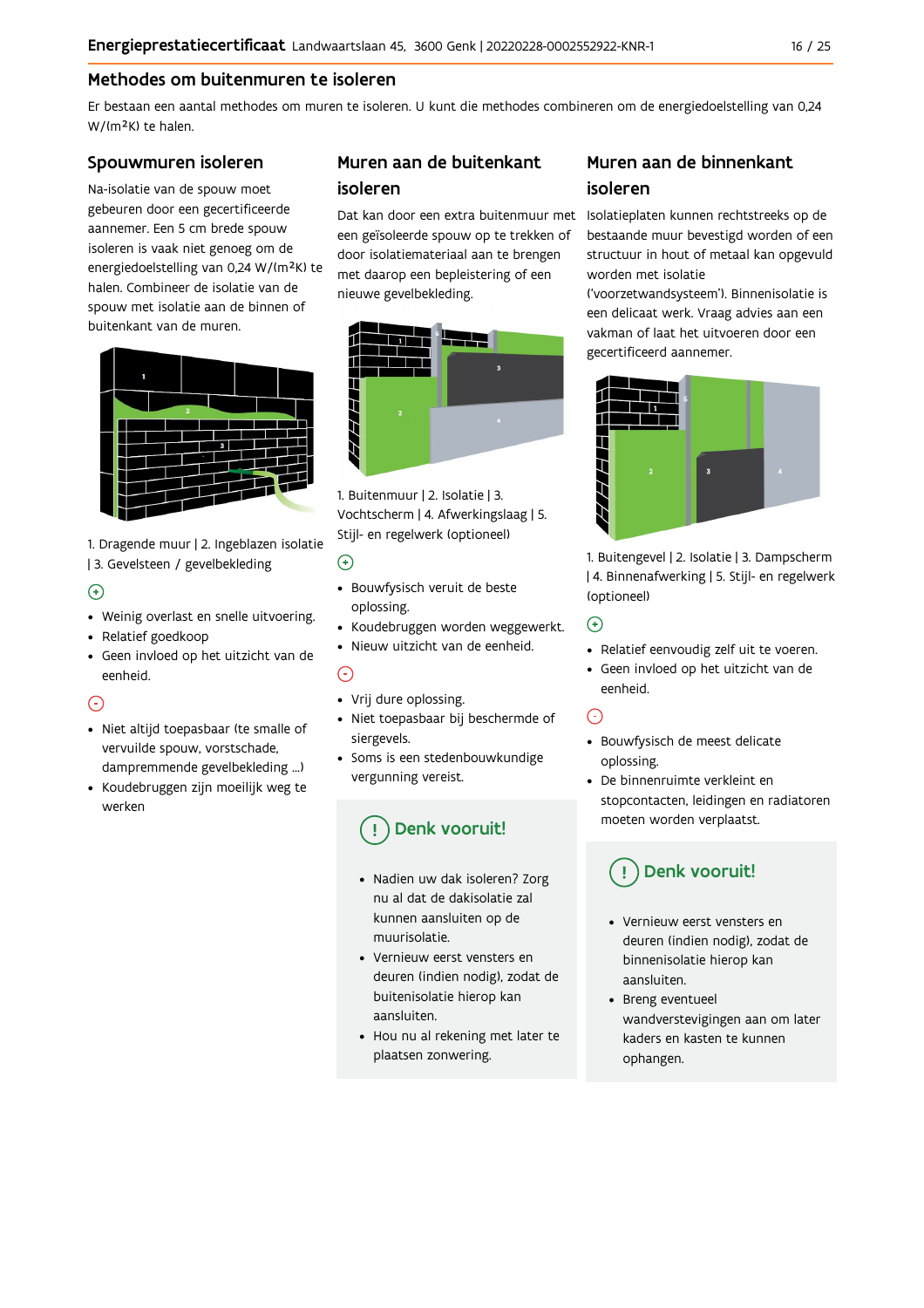### Methodes om buitenmuren te isoleren

Er bestaan een aantal methodes om muren te isoleren. U kunt die methodes combineren om de energiedoelstelling van 0,24 W/(m<sup>2</sup>K) te halen.

#### Spouwmuren isoleren

Na-isolatie van de spouw moet gebeuren door een gecertificeerde aannemer. Een 5 cm brede spouw isoleren is vaak niet genoeg om de energiedoelstelling van 0,24 W/(m<sup>2</sup>K) te halen. Combineer de isolatie van de spouw met isolatie aan de binnen of buitenkant van de muren.



1. Dragende muur | 2. Ingeblazen isolatie | 3. Gevelsteen / gevelbekleding

### $\bigoplus$

- Weinig overlast en snelle uitvoering.
- Relatief goedkoop
- · Geen invloed op het uitzicht van de eenheid.

### ∩

- · Niet altijd toepasbaar (te smalle of vervuilde spouw, vorstschade, dampremmende gevelbekleding ...)
- Koudebruggen zijn moeilijk weg te werken

## Muren aan de buitenkant isoleren

een geïsoleerde spouw op te trekken of door isolatiemateriaal aan te brengen met daarop een bepleistering of een nieuwe gevelbekleding.



1. Buitenmuur | 2. Isolatie | 3. Vochtscherm | 4. Afwerkingslaag | 5. Stijl- en regelwerk (optioneel)

#### $\odot$

- · Bouwfysisch veruit de beste oplossing.
- Koudebruggen worden weggewerkt.
- · Nieuw uitzicht van de eenheid.

### $\bigcap$

- Vrij dure oplossing.
- · Niet toepasbaar bij beschermde of siergevels.
- Soms is een stedenbouwkundige vergunning vereist.

## Denk vooruit!

- · Nadien uw dak isoleren? Zorg nu al dat de dakisolatie zal kunnen aansluiten op de muurisolatie
- Vernieuw eerst vensters en deuren (indien nodig), zodat de buitenisolatie hierop kan aansluiten.
- Hou nu al rekening met later te plaatsen zonwering.

## Muren aan de binnenkant isoleren

Dat kan door een extra buitenmuur met Isolatieplaten kunnen rechtstreeks op de bestaande muur bevestigd worden of een structuur in hout of metaal kan opgevuld worden met isolatie

('voorzetwandsysteem'). Binnenisolatie is een delicaat werk. Vraag advies aan een vakman of laat het uitvoeren door een gecertificeerd aannemer.



1. Buitengevel | 2. Isolatie | 3. Dampscherm | 4. Binnenafwerking | 5. Stijl- en regelwerk (optioneel)

#### $\bigodot$

- Relatief eenvoudig zelf uit te voeren.
- · Geen invloed op het uitzicht van de eenheid.

### $\odot$

- · Bouwfysisch de meest delicate oplossing.
- De binnenruimte verkleint en stopcontacten, leidingen en radiatoren moeten worden verplaatst.

## Denk vooruit!

- Vernieuw eerst vensters en deuren (indien nodig), zodat de binnenisolatie hierop kan aansluiten.
- Breng eventueel wandverstevigingen aan om later kaders en kasten te kunnen ophangen.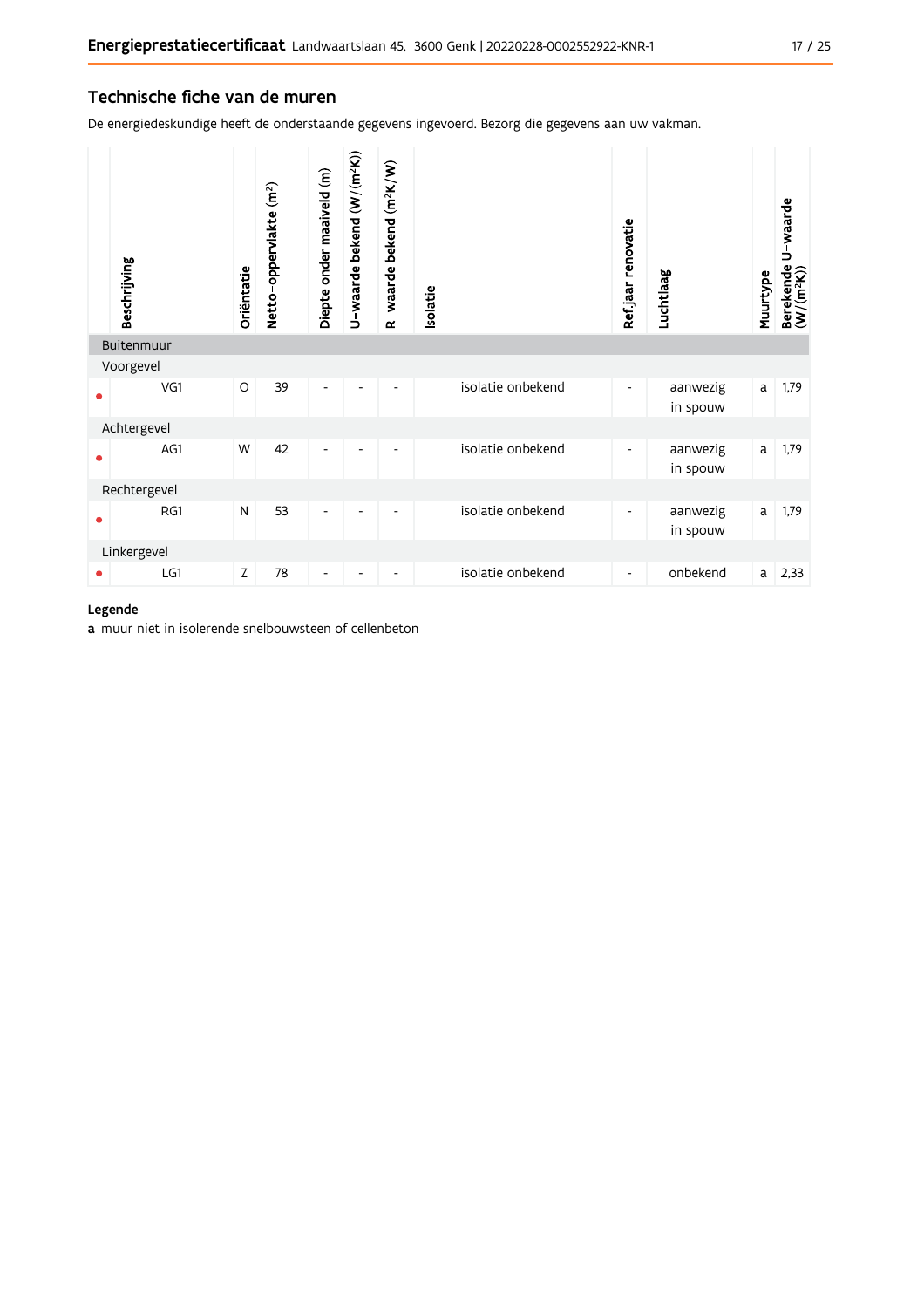#### Technische fiche van de muren

De energiedeskundige heeft de onderstaande gegevens ingevoerd. Bezorg die gegevens aan uw vakman.

|           | Beschrijving | Oriëntatie | Netto-oppervlakte (m <sup>2</sup> ) | Diepte onder maaiveld (m) | U-waarde bekend (W/(m <sup>2</sup> K)) | R-waarde bekend (m <sup>2</sup> K/W) | solatie |                   | Ref.jaar renovatie       | Luchtlaag            | Muurtype | U-waarde<br>Berekende l<br>(W/(m <sup>2</sup> K)) |
|-----------|--------------|------------|-------------------------------------|---------------------------|----------------------------------------|--------------------------------------|---------|-------------------|--------------------------|----------------------|----------|---------------------------------------------------|
|           | Buitenmuur   |            |                                     |                           |                                        |                                      |         |                   |                          |                      |          |                                                   |
|           | Voorgevel    |            |                                     |                           |                                        |                                      |         |                   |                          |                      |          |                                                   |
| $\bullet$ | VG1          | O          | 39                                  | $\overline{\phantom{a}}$  |                                        | -                                    |         | isolatie onbekend | $\overline{\phantom{a}}$ | aanwezig<br>in spouw | a        | 1,79                                              |
|           | Achtergevel  |            |                                     |                           |                                        |                                      |         |                   |                          |                      |          |                                                   |
|           | AG1          | W          | 42                                  | Ĭ.                        |                                        |                                      |         | isolatie onbekend | $\overline{\phantom{a}}$ | aanwezig<br>in spouw | a        | 1,79                                              |
|           | Rechtergevel |            |                                     |                           |                                        |                                      |         |                   |                          |                      |          |                                                   |
| ٠         | RG1          | N          | 53                                  | $\overline{\phantom{a}}$  |                                        |                                      |         | isolatie onbekend | -                        | aanwezig<br>in spouw | a        | 1,79                                              |
|           | Linkergevel  |            |                                     |                           |                                        |                                      |         |                   |                          |                      |          |                                                   |
| ٠         | LG1          | Z          | 78                                  | $\overline{\phantom{a}}$  |                                        | $\overline{\phantom{a}}$             |         | isolatie onbekend | $\overline{\phantom{a}}$ | onbekend             | a        | 2,33                                              |

#### Legende

a muur niet in isolerende snelbouwsteen of cellenbeton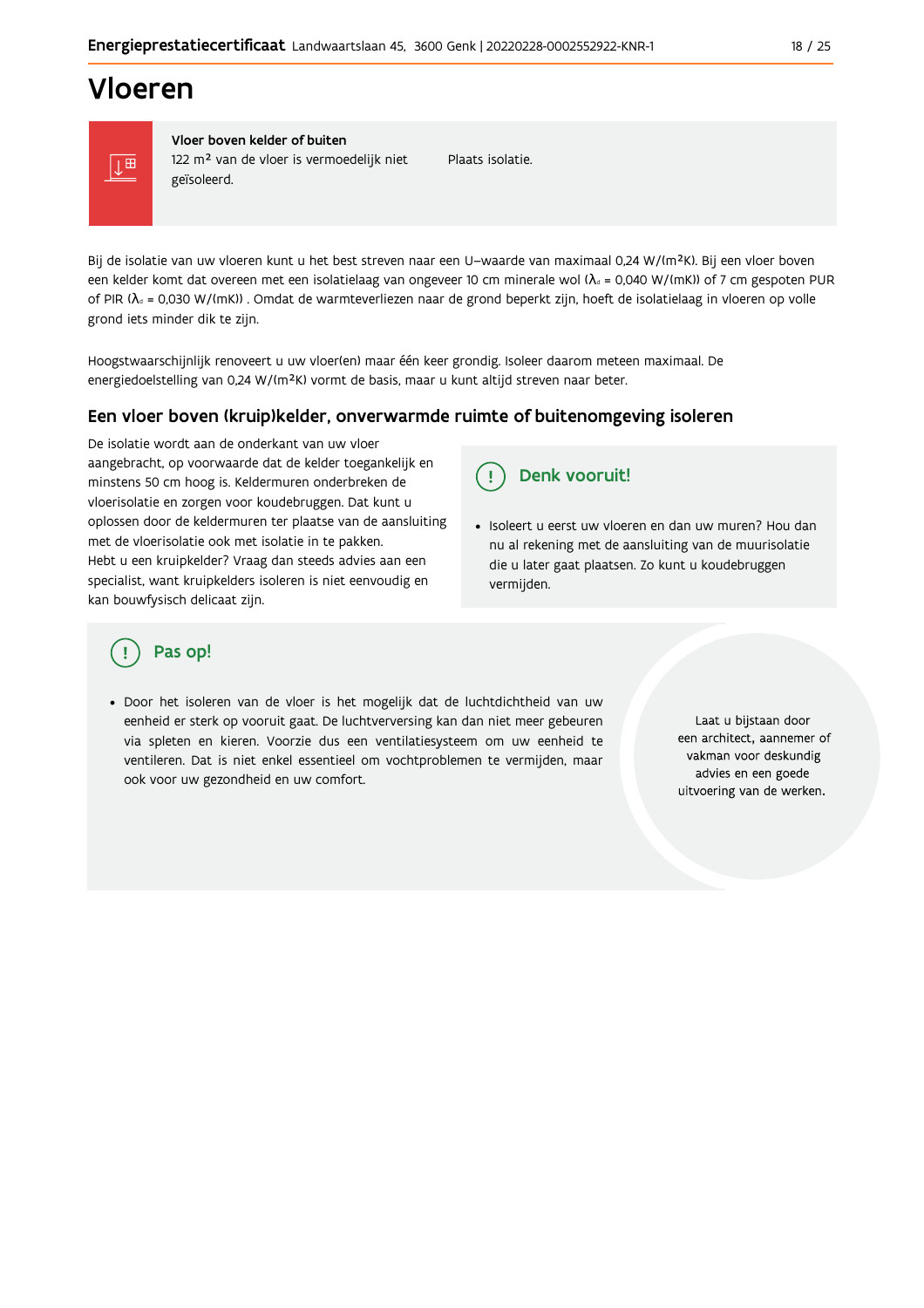## Vloeren



Vloer boven kelder of buiten 122 m<sup>2</sup> van de vloer is vermoedelijk niet geïsoleerd.

Plaats isolatie.

Bij de isolatie van uw vloeren kunt u het best streven naar een U-waarde van maximaal 0,24 W/(m<sup>2</sup>K). Bij een vloer boven een kelder komt dat overeen met een isolatielaag van ongeveer 10 cm minerale wol ( $\lambda_d$  = 0,040 W/(mK)) of 7 cm gespoten PUR of PIR ( $\lambda_0$  = 0,030 W/(mK)). Omdat de warmteverliezen naar de grond beperkt zijn, hoeft de isolatielaag in vloeren op volle grond iets minder dik te zijn.

Hoogstwaarschijnlijk renoveert u uw vloer(en) maar één keer grondig. Isoleer daarom meteen maximaal. De energiedoelstelling van 0,24 W/(m<sup>2</sup>K) vormt de basis, maar u kunt altijd streven naar beter.

#### Een vloer boven (kruip) kelder, onverwarmde ruimte of buitenomgeving isoleren

De isolatie wordt aan de onderkant van uw vloer aangebracht, op voorwaarde dat de kelder toegankelijk en minstens 50 cm hoog is. Keldermuren onderbreken de vloerisolatie en zorgen voor koudebruggen. Dat kunt u oplossen door de keldermuren ter plaatse van de aansluiting met de vloerisolatie ook met isolatie in te pakken. Hebt u een kruipkelder? Vraag dan steeds advies aan een specialist, want kruipkelders isoleren is niet eenvoudig en kan bouwfysisch delicaat zijn.

Denk vooruit! Ţ

· Isoleert u eerst uw vloeren en dan uw muren? Hou dan nu al rekening met de aansluiting van de muurisolatie die u later gaat plaatsen. Zo kunt u koudebruggen vermijden.

## Pas op!

· Door het isoleren van de vloer is het mogelijk dat de luchtdichtheid van uw eenheid er sterk op vooruit gaat. De luchtverversing kan dan niet meer gebeuren via spleten en kieren. Voorzie dus een ventilatiesysteem om uw eenheid te ventileren. Dat is niet enkel essentieel om vochtproblemen te vermijden, maar ook voor uw gezondheid en uw comfort.

Laat u bijstaan door een architect, aannemer of vakman voor deskundig advies en een goede uitvoering van de werken.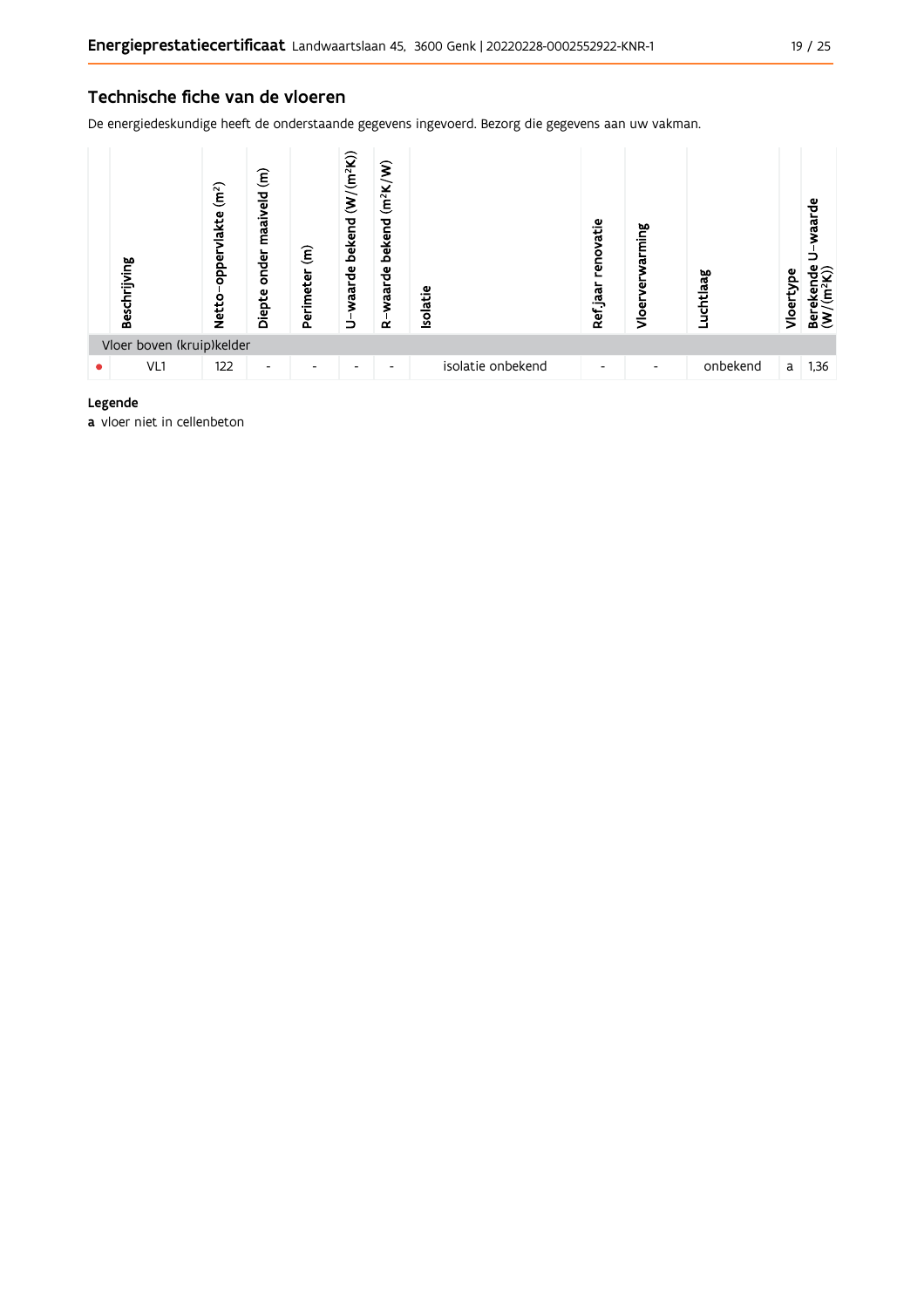#### Technische fiche van de vloeren

De energiedeskundige heeft de onderstaande gegevens ingevoerd. Bezorg die gegevens aan uw vakman.



#### Legende

a vloer niet in cellenbeton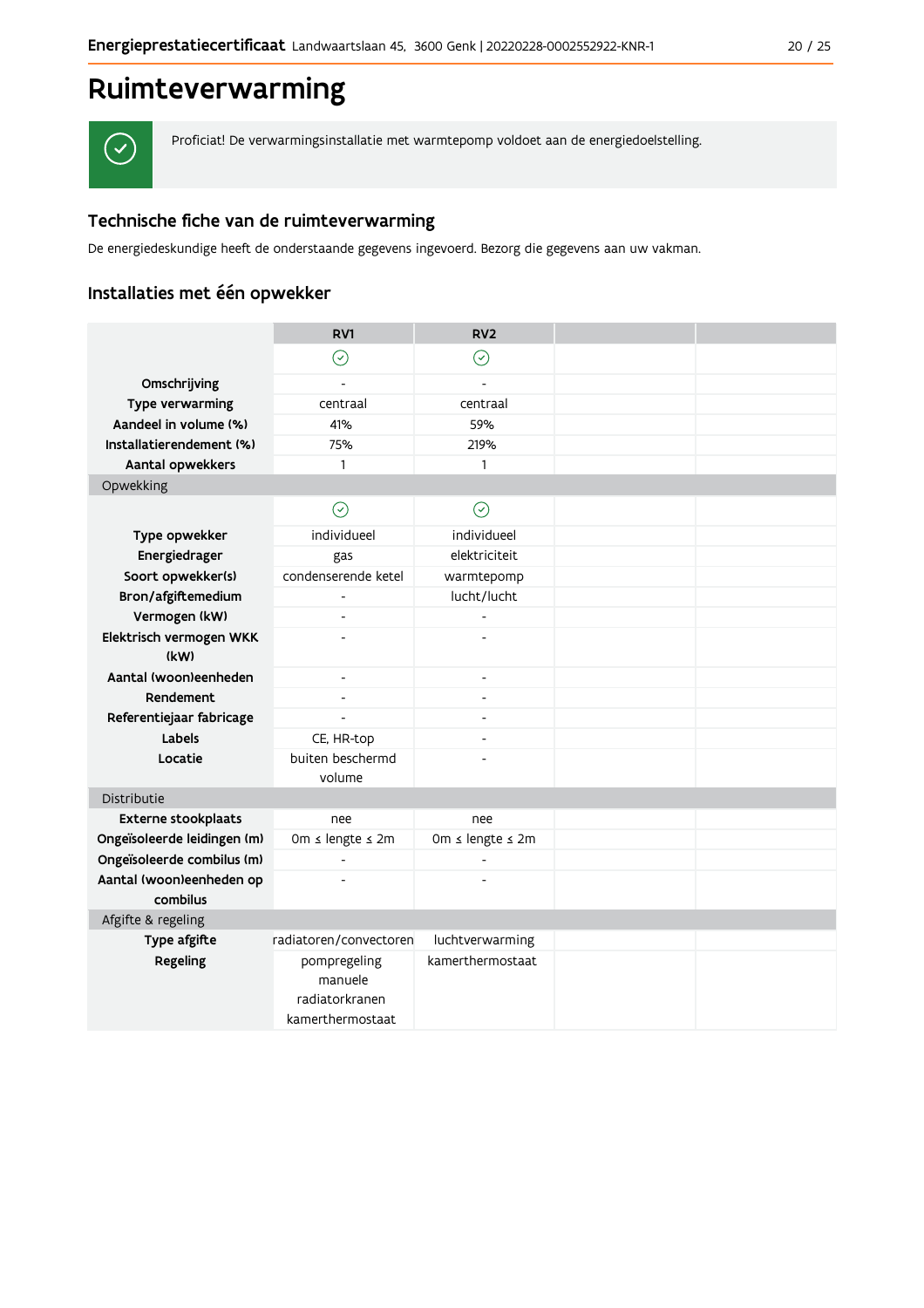## Ruimteverwarming



Proficiat! De verwarmingsinstallatie met warmtepomp voldoet aan de energiedoelstelling.

### Technische fiche van de ruimteverwarming

De energiedeskundige heeft de onderstaande gegevens ingevoerd. Bezorg die gegevens aan uw vakman.

## Installaties met één opwekker

|                                      | RV1                                                           | RV <sub>2</sub>          |  |
|--------------------------------------|---------------------------------------------------------------|--------------------------|--|
|                                      | $\odot$                                                       | $\odot$                  |  |
| Omschrijving                         | $\overline{a}$                                                | $\overline{a}$           |  |
| Type verwarming                      | centraal                                                      | centraal                 |  |
| Aandeel in volume (%)                | 41%                                                           | 59%                      |  |
| Installatierendement (%)             | 75%                                                           | 219%                     |  |
| Aantal opwekkers                     | $\mathbf{1}$                                                  | 1                        |  |
| Opwekking                            |                                                               |                          |  |
|                                      | $\odot$                                                       | ⊘                        |  |
| Type opwekker                        | individueel                                                   | individueel              |  |
| Energiedrager                        | gas                                                           | elektriciteit            |  |
| Soort opwekker(s)                    | condenserende ketel                                           | warmtepomp               |  |
| Bron/afgiftemedium                   |                                                               | lucht/lucht              |  |
| Vermogen (kW)                        |                                                               |                          |  |
| Elektrisch vermogen WKK<br>(kW)      |                                                               |                          |  |
| Aantal (woon)eenheden                | $\overline{\phantom{a}}$                                      | $\overline{\phantom{0}}$ |  |
| Rendement                            | $\overline{\phantom{a}}$                                      | $\overline{a}$           |  |
| Referentiejaar fabricage             | $\overline{a}$                                                | $\overline{a}$           |  |
| Labels                               | CE, HR-top                                                    | $\overline{a}$           |  |
| Locatie                              | buiten beschermd<br>volume                                    |                          |  |
| Distributie                          |                                                               |                          |  |
| Externe stookplaats                  | nee                                                           | nee                      |  |
| Ongeïsoleerde leidingen (m)          | 0m ≤ lengte ≤ 2m                                              | 0m ≤ lengte ≤ 2m         |  |
| Ongeïsoleerde combilus (m)           | $\overline{a}$                                                |                          |  |
| Aantal (woon)eenheden op<br>combilus |                                                               |                          |  |
| Afgifte & regeling                   |                                                               |                          |  |
| Type afgifte                         | radiatoren/convectoren                                        | luchtverwarming          |  |
| Regeling                             | pompregeling<br>manuele<br>radiatorkranen<br>kamerthermostaat | kamerthermostaat         |  |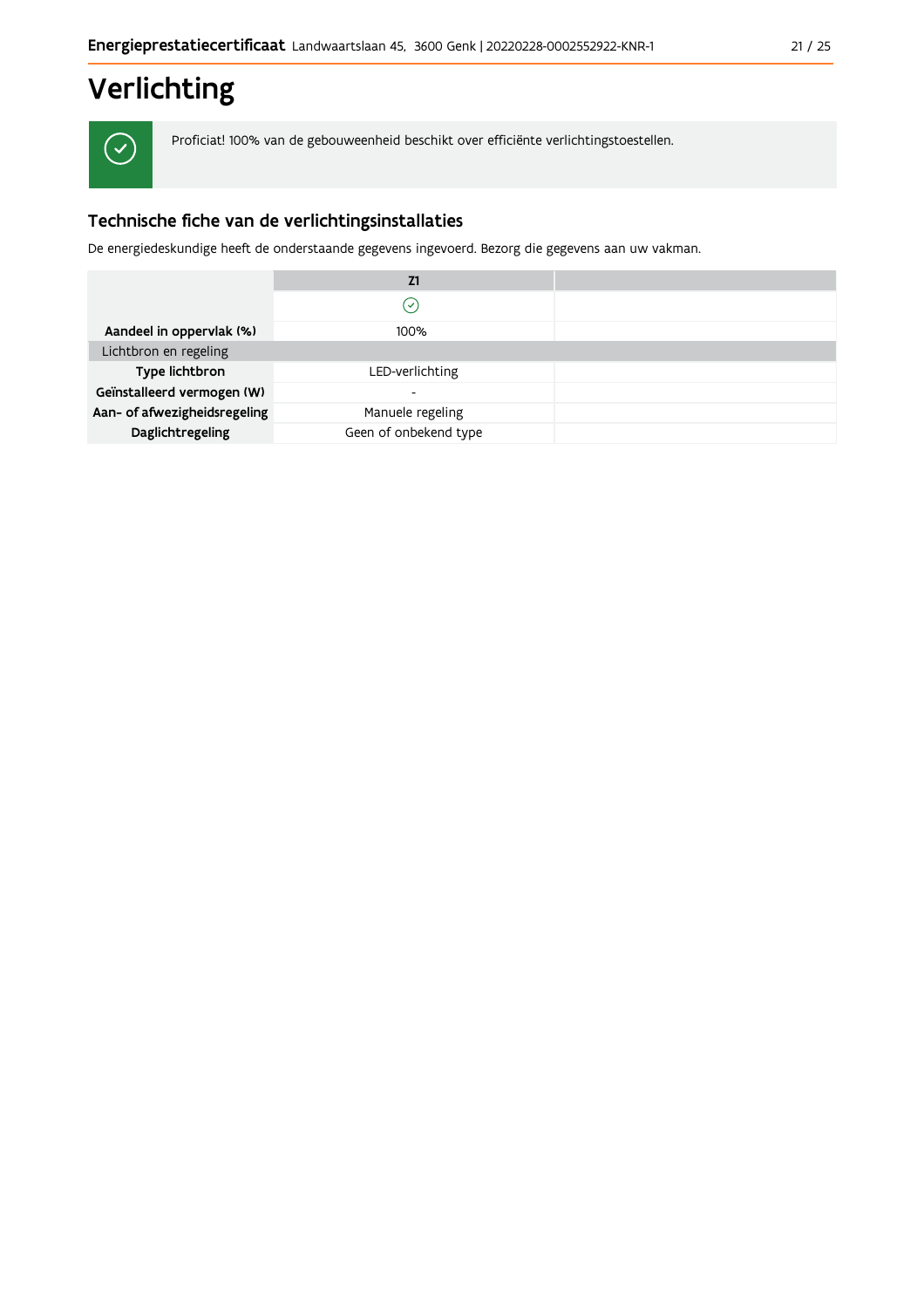# Verlichting

 $\checkmark$ 

Proficiat! 100% van de gebouweenheid beschikt over efficiënte verlichtingstoestellen.

## Technische fiche van de verlichtingsinstallaties

De energiedeskundige heeft de onderstaande gegevens ingevoerd. Bezorg die gegevens aan uw vakman.

|                              | Z1                    |  |
|------------------------------|-----------------------|--|
|                              | $\mathcal{S}$         |  |
| Aandeel in oppervlak (%)     | 100%                  |  |
| Lichtbron en regeling        |                       |  |
| Type lichtbron               | LED-verlichting       |  |
| Geïnstalleerd vermogen (W)   | -                     |  |
| Aan- of afwezigheidsregeling | Manuele regeling      |  |
| Daglichtregeling             | Geen of onbekend type |  |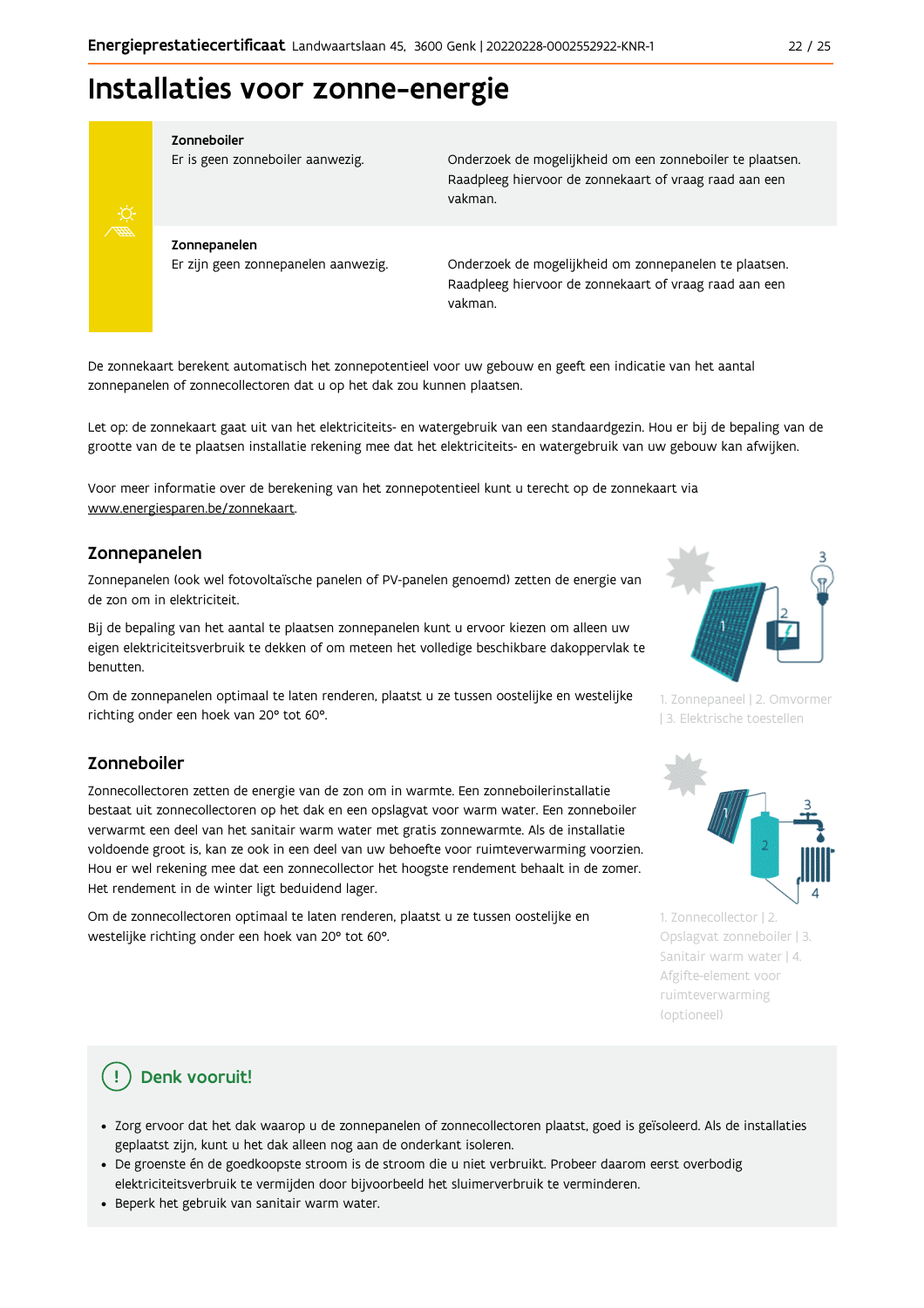## Installaties voor zonne-energie



#### Zonneboiler

Er is geen zonneboiler aanwezig.

Onderzoek de mogelijkheid om een zonneboiler te plaatsen. Raadpleeg hiervoor de zonnekaart of vraag raad aan een vakman.

Zonnepanelen Er zijn geen zonnepanelen aanwezig.

Onderzoek de mogelijkheid om zonnepanelen te plaatsen. Raadpleeg hiervoor de zonnekaart of vraag raad aan een vakman.

De zonnekaart berekent automatisch het zonnepotentieel voor uw gebouw en geeft een indicatie van het aantal zonnepanelen of zonnecollectoren dat u op het dak zou kunnen plaatsen.

Let op: de zonnekaart gaat uit van het elektriciteits- en watergebruik van een standaardgezin. Hou er bij de bepaling van de grootte van de te plaatsen installatie rekening mee dat het elektriciteits- en watergebruik van uw gebouw kan afwijken.

Voor meer informatie over de berekening van het zonnepotentieel kunt u terecht op de zonnekaart via www.energiesparen.be/zonnekaart.

#### Zonnepanelen

Zonnepanelen (ook wel fotovoltaïsche panelen of PV-panelen genoemd) zetten de energie van de zon om in elektriciteit.

Bij de bepaling van het aantal te plaatsen zonnepanelen kunt u ervoor kiezen om alleen uw eigen elektriciteitsverbruik te dekken of om meteen het volledige beschikbare dakoppervlak te benutten.

Om de zonnepanelen optimaal te laten renderen, plaatst u ze tussen oostelijke en westelijke richting onder een hoek van 20° tot 60°.

#### Zonneboiler

Zonnecollectoren zetten de energie van de zon om in warmte. Een zonneboilerinstallatie bestaat uit zonnecollectoren op het dak en een opslagvat voor warm water. Een zonneboiler verwarmt een deel van het sanitair warm water met gratis zonnewarmte. Als de installatie voldoende groot is, kan ze ook in een deel van uw behoefte voor ruimteverwarming voorzien. Hou er wel rekening mee dat een zonnecollector het hoogste rendement behaalt in de zomer. Het rendement in de winter ligt beduidend lager.

Om de zonnecollectoren optimaal te laten renderen, plaatst u ze tussen oostelijke en westelijke richting onder een hoek van 20° tot 60°.



1. Zonnepaneel | 2. Omvormer | 3. Elektrische toestellen



1. Zonnecollector | 2. Opslagvat zonneboiler | 3. Sanitair warm water | 4. Afgifte-element voor ruimteverwarming (optioneel)

## Denk vooruit!

- · Zorg ervoor dat het dak waarop u de zonnepanelen of zonnecollectoren plaatst, goed is geïsoleerd. Als de installaties geplaatst zijn, kunt u het dak alleen nog aan de onderkant isoleren.
- · De groenste én de goedkoopste stroom is de stroom die u niet verbruikt. Probeer daarom eerst overbodig elektriciteitsverbruik te vermijden door bijvoorbeeld het sluimerverbruik te verminderen.
- · Beperk het gebruik van sanitair warm water.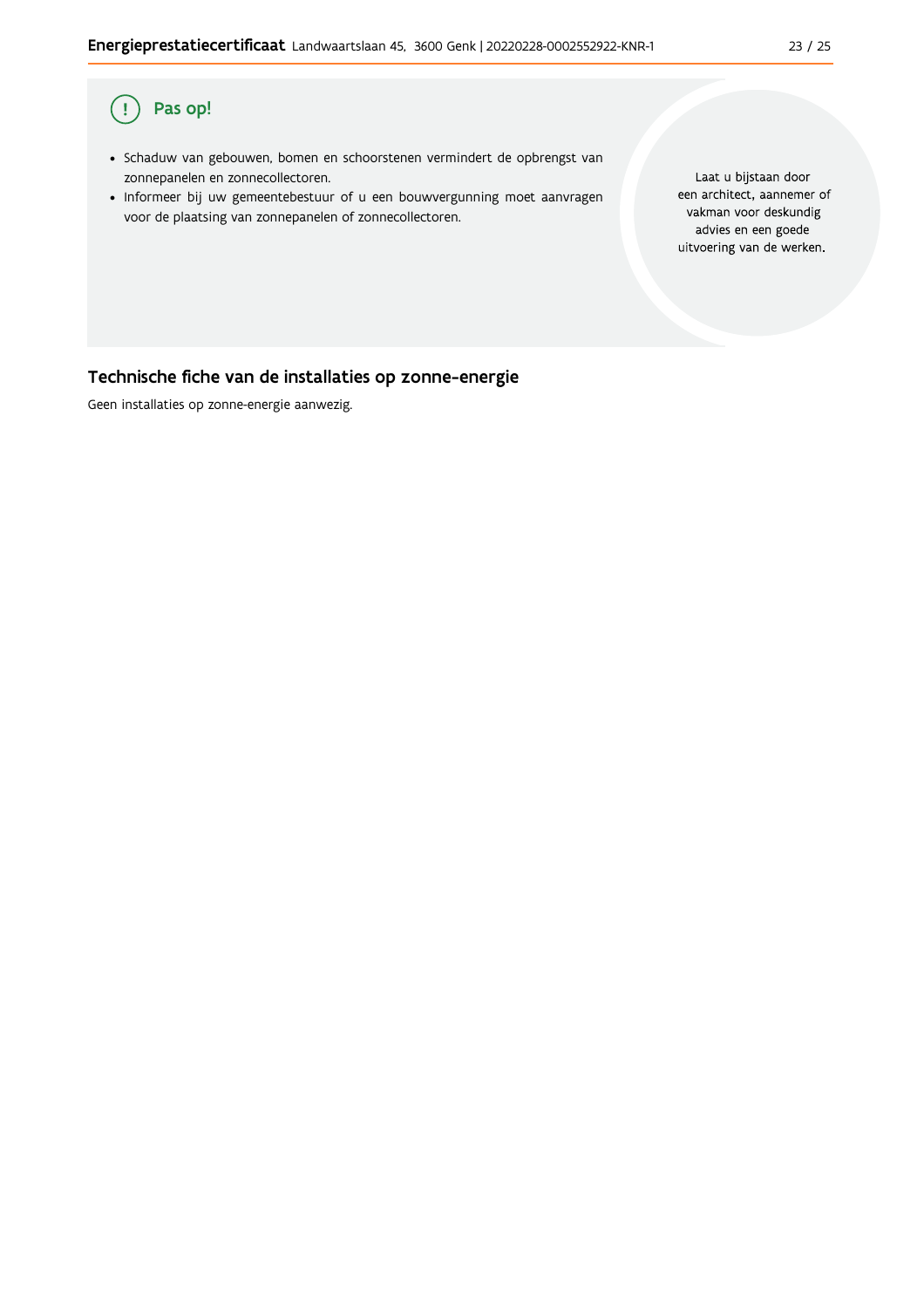#### Pas op!  $\overline{(\,}$

- · Schaduw van gebouwen, bomen en schoorstenen vermindert de opbrengst van zonnepanelen en zonnecollectoren.
- · Informeer bij uw gemeentebestuur of u een bouwvergunning moet aanvragen voor de plaatsing van zonnepanelen of zonnecollectoren.

Laat u bijstaan door een architect, aannemer of vakman voor deskundig advies en een goede uitvoering van de werken.

## Technische fiche van de installaties op zonne-energie

Geen installaties op zonne-energie aanwezig.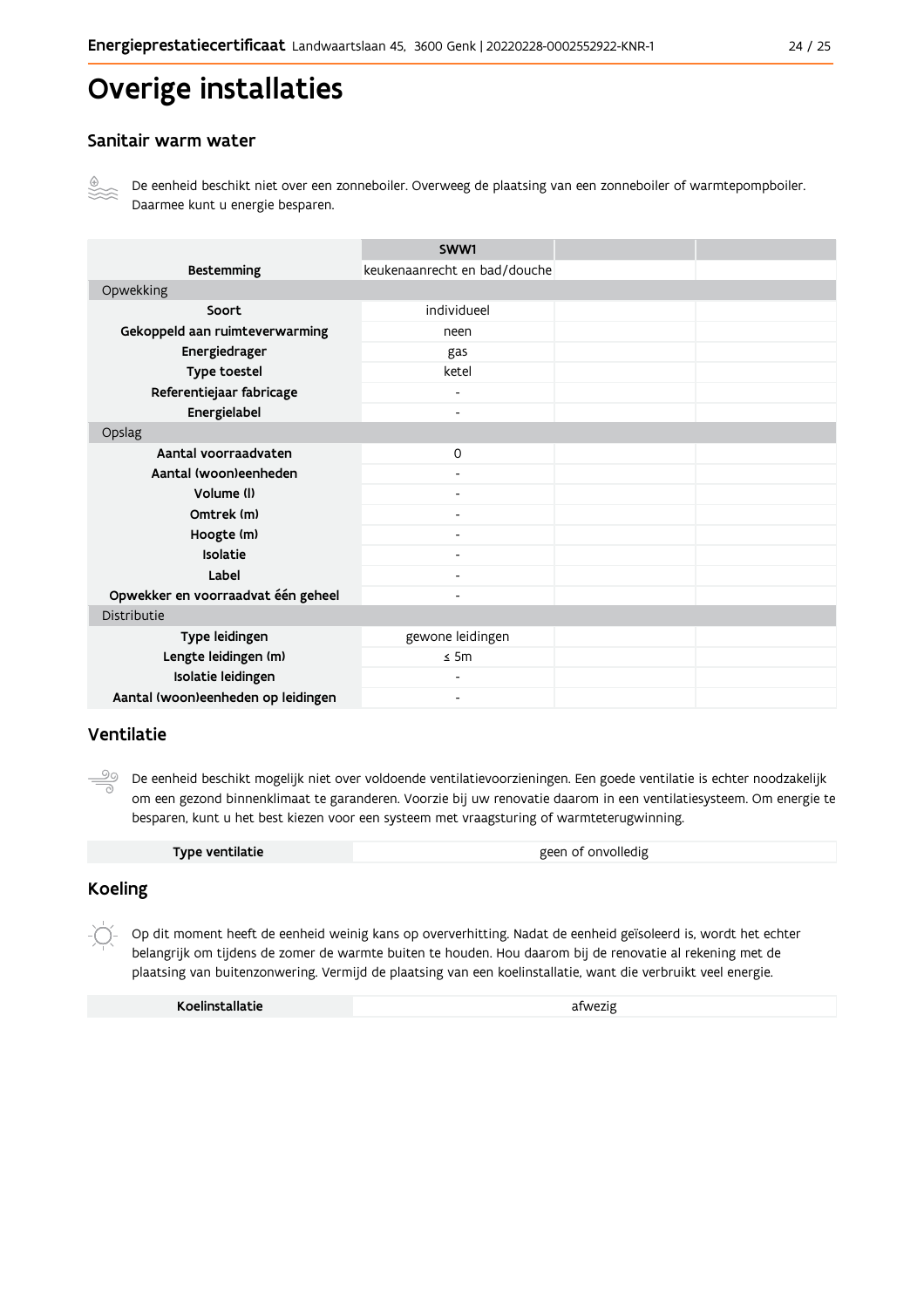## Overige installaties

#### Sanitair warm water



De eenheid beschikt niet over een zonneboiler. Overweeg de plaatsing van een zonneboiler of warmtepompboiler. Daarmee kunt u energie besparen.

|                                    | SWW1                         |  |
|------------------------------------|------------------------------|--|
| <b>Bestemming</b>                  | keukenaanrecht en bad/douche |  |
| Opwekking                          |                              |  |
| Soort                              | individueel                  |  |
| Gekoppeld aan ruimteverwarming     | neen                         |  |
| Energiedrager                      | gas                          |  |
| Type toestel                       | ketel                        |  |
| Referentiejaar fabricage           | $\qquad \qquad \blacksquare$ |  |
| Energielabel                       | $\overline{\phantom{a}}$     |  |
| Opslag                             |                              |  |
| Aantal voorraadvaten               | $\mathsf{O}$                 |  |
| Aantal (woon)eenheden              |                              |  |
| Volume (I)                         | Ξ.                           |  |
| Omtrek (m)                         |                              |  |
| Hoogte (m)                         |                              |  |
| Isolatie                           | $\qquad \qquad \blacksquare$ |  |
| Label                              | $\overline{\phantom{0}}$     |  |
| Opwekker en voorraadvat één geheel |                              |  |
| Distributie                        |                              |  |
| Type leidingen                     | gewone leidingen             |  |
| Lengte leidingen (m)               | $\leq$ 5m                    |  |
| Isolatie leidingen                 |                              |  |
| Aantal (woon)eenheden op leidingen |                              |  |

#### Ventilatie

De eenheid beschikt mogelijk niet over voldoende ventilatievoorzieningen. Een goede ventilatie is echter noodzakelijk om een gezond binnenklimaat te garanderen. Voorzie bij uw renovatie daarom in een ventilatiesysteem. Om energie te besparen, kunt u het best kiezen voor een systeem met vraagsturing of warmteterugwinning.

| Type ventilatie | geen of onvolledig |
|-----------------|--------------------|
|                 |                    |

#### **Koeling**

 $-\bigcirc$ Op dit moment heeft de eenheid weinig kans op oververhitting. Nadat de eenheid geïsoleerd is, wordt het echter belangrijk om tijdens de zomer de warmte buiten te houden. Hou daarom bij de renovatie al rekening met de plaatsing van buitenzonwering. Vermijd de plaatsing van een koelinstallatie, want die verbruikt veel energie.

Koelinstallatie

afwezig